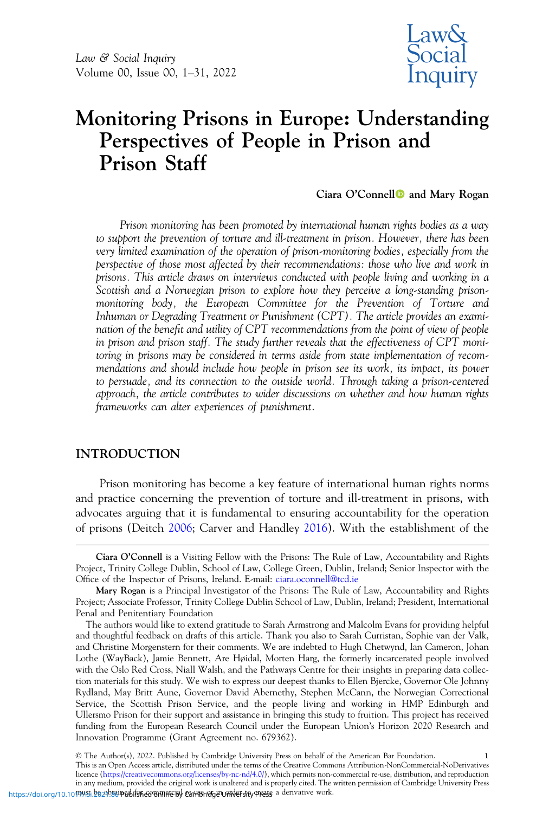

# Monitoring Prisons in Europe: Understanding Perspectives of People in Prison and Prison Staff

Ciara O'Connell<sup>o</sup> and Mary Rogan

Prison monitoring has been promoted by international human rights bodies as a way to support the prevention of torture and ill-treatment in prison. However, there has been very limited examination of the operation of prison-monitoring bodies, especially from the perspective of those most affected by their recommendations: those who live and work in prisons. This article draws on interviews conducted with people living and working in a Scottish and a Norwegian prison to explore how they perceive a long-standing prisonmonitoring body, the European Committee for the Prevention of Torture and Inhuman or Degrading Treatment or Punishment (CPT). The article provides an examination of the benefit and utility of CPT recommendations from the point of view of people in prison and prison staff. The study further reveals that the effectiveness of CPT monitoring in prisons may be considered in terms aside from state implementation of recommendations and should include how people in prison see its work, its impact, its power to persuade, and its connection to the outside world. Through taking a prison-centered approach, the article contributes to wider discussions on whether and how human rights frameworks can alter experiences of punishment.

## INTRODUCTION

Prison monitoring has become a key feature of international human rights norms and practice concerning the prevention of torture and ill-treatment in prisons, with advocates arguing that it is fundamental to ensuring accountability for the operation of prisons (Deitch [2006](#page-28-0); Carver and Handley [2016](#page-27-0)). With the establishment of the

Ciara O'Connell is a Visiting Fellow with the Prisons: The Rule of Law, Accountability and Rights Project, Trinity College Dublin, School of Law, College Green, Dublin, Ireland; Senior Inspector with the Office of the Inspector of Prisons, Ireland. E-mail: [ciara.oconnell@tcd.ie](mailto:ciara.oconnell@tcd.ie)

Mary Rogan is a Principal Investigator of the Prisons: The Rule of Law, Accountability and Rights Project; Associate Professor, Trinity College Dublin School of Law, Dublin, Ireland; President, International Penal and Penitentiary Foundation

The authors would like to extend gratitude to Sarah Armstrong and Malcolm Evans for providing helpful and thoughtful feedback on drafts of this article. Thank you also to Sarah Curristan, Sophie van der Valk, and Christine Morgenstern for their comments. We are indebted to Hugh Chetwynd, Ian Cameron, Johan Lothe (WayBack), Jamie Bennett, Are Høidal, Morten Harg, the formerly incarcerated people involved with the Oslo Red Cross, Niall Walsh, and the Pathways Centre for their insights in preparing data collection materials for this study. We wish to express our deepest thanks to Ellen Bjercke, Governor Ole Johnny Rydland, May Britt Aune, Governor David Abernethy, Stephen McCann, the Norwegian Correctional Service, the Scottish Prison Service, and the people living and working in HMP Edinburgh and Ullersmo Prison for their support and assistance in bringing this study to fruition. This project has received funding from the European Research Council under the European Union's Horizon 2020 Research and Innovation Programme (Grant Agreement no. 679362).

<sup>©</sup> The Author(s), 2022. Published by Cambridge University Press on behalf of the American Bar Foundation. 1 This is an Open Access article, distributed under the terms of the Creative Commons Attribution-NonCommercial-NoDerivatives licence [\(https://creativecommons.org/licenses/by-nc-nd/4.0/\)](https://creativecommons.org/licenses/by-nc-nd/4.0/), which permits non-commercial re-use, distribution, and reproduction in any medium, provided the original work is unaltered and is properly cited. The written permission of Cambridge University Press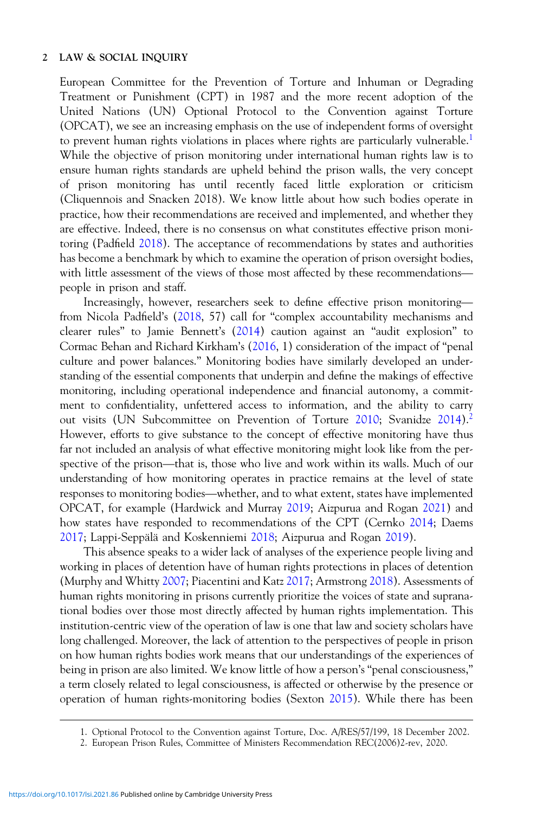European Committee for the Prevention of Torture and Inhuman or Degrading Treatment or Punishment (CPT) in 1987 and the more recent adoption of the United Nations (UN) Optional Protocol to the Convention against Torture (OPCAT), we see an increasing emphasis on the use of independent forms of oversight to prevent human rights violations in places where rights are particularly vulnerable.<sup>1</sup> While the objective of prison monitoring under international human rights law is to ensure human rights standards are upheld behind the prison walls, the very concept of prison monitoring has until recently faced little exploration or criticism (Cliquennois and Snacken 2018). We know little about how such bodies operate in practice, how their recommendations are received and implemented, and whether they are effective. Indeed, there is no consensus on what constitutes effective prison moni-<br>toring (Padfield 2018). The acceptance of recommendations by states and authorities<br>has become a benchmark by which to examine the ope toring (Padfield [2018\)](#page-29-0). The acceptance of recommendations by states and authorities has become a benchmark by which to examine the operation of prison oversight bodies, with little assessment of the views of those most affected by these recommendations—<br>people in prison and staff.<br>Increasingly, however, r people in prison and staff.

from Nicola Padfield's [\(2018](#page-29-0), 57) call for "complex accountability mechanisms and clearer rules" to Jamie Bennett's [\(2014](#page-27-0)) caution against an "audit explosion" to Cormac Behan and Richard Kirkham's [\(2016](#page-27-0), 1) consideration of the impact of "penal culture and power balances." Monitoring bodies have similarly developed an understanding of the essential components that underpin and define the makings of effective monitoring, including operational independence and financial autonomy, a commitment to confidentiality, unfettered access to information, and the ability to carry neth to commutate the contribution of the minimalism, and the acting to earth) the out visits (UN Subcommittee on Prevention of Torture [2010;](#page-30-0) Svanidze [2014\)](#page-30-0).<sup>2</sup> However, efforts to give substance to the concept of effectiv However, efforts to give substance to the concept of effective monitoring have thus far not included an analysis of what effective monitoring might look like from the perunderstanding of how monitoring operates in practice remains at the level of state spective of the prison—that is, those who live and work within its walls. Much of our understanding of how monitoring operates in practice remains at the level of state responses to monitoring bodies—whether, and to what e OPCAT, for example (Hardwick and Murray [2019;](#page-29-0) Aizpurua and Rogan [2021](#page-27-0)) and how states have responded to recommendations of the CPT (Cernko [2014;](#page-27-0) Daems [2017;](#page-28-0) Lappi-Seppälä and Koskenniemi [2018](#page-29-0); Aizpurua and Rogan [2019](#page-27-0)).

This absence speaks to a wider lack of analyses of the experience people living and working in places of detention have of human rights protections in places of detention (Murphy and Whitty [2007;](#page-29-0) Piacentini and Katz [2017;](#page-29-0) Armstrong [2018](#page-27-0)). Assessments of human rights monitoring in prisons currently prioritize the voices of state and supranational bodies over those most directly affected by human rights implementation. This institution-centric view of the operation of law is one that law and society scholars have long challenged. Moreover, the lack of attention to the perspectives of people in prison on how human rights bodies work means that our understandings of the experiences of being in prison are also limited. We know little of how a person's "penal consciousness," a term closely related to legal consciousness, is affected or otherwise by the presence or operation of human rights-monitoring bodies (Sexton [2015\)](#page-29-0). While there has been

<sup>1.</sup> Optional Protocol to the Convention against Torture, Doc. A/RES/57/199, 18 December 2002.

<sup>2.</sup> European Prison Rules, Committee of Ministers Recommendation REC(2006)2-rev, 2020.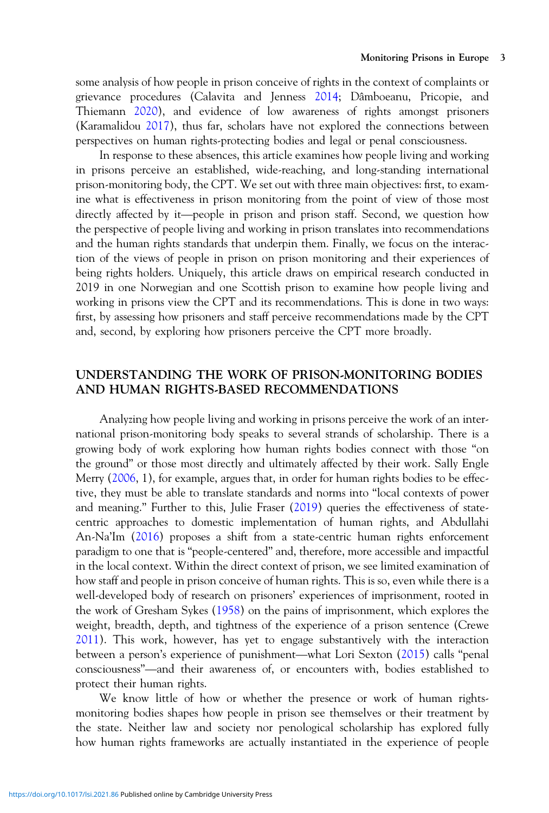some analysis of how people in prison conceive of rights in the context of complaints or grievance procedures (Calavita and Jenness [2014;](#page-27-0) Dâmboeanu, Pricopie, and Thiemann [2020\)](#page-28-0), and evidence of low awareness of rights amongst prisoners (Karamalidou [2017](#page-29-0)), thus far, scholars have not explored the connections between perspectives on human rights-protecting bodies and legal or penal consciousness.

In response to these absences, this article examines how people living and working in prisons perceive an established, wide-reaching, and long-standing international prison-monitoring body, the CPT. We set out with three main objectives: first, to examine what is effectiveness in prison monitoring from t prison-monitoring body, the CPT. We set out with three main objectives: first, to examine what is effectiveness in prison monitoring from the point of view of those most the perspective of people living and working in prison translates into recommendations and the human rights standards that underpin them. Finally, we focus on the interaction of the views of people in prison on prison monitoring and their experiences of being rights holders. Uniquely, this article draws on empirical research conducted in 2019 in one Norwegian and one Scottish prison to examine how people living and working in prisons view the CPT and its recommendations. This is done in two ways: first, by assessing how prisoners and staff perceive recommendations made by the CPT and, second, by exploring how prisoners perceive the CPT more broadly.

# UNDERSTANDING THE WORK OF PRISON-MONITORING BODIES AND HUMAN RIGHTS-BASED RECOMMENDATIONS

Analyzing how people living and working in prisons perceive the work of an international prison-monitoring body speaks to several strands of scholarship. There is a growing body of work exploring how human rights bodies connect with those "on the ground" or those most directly and ultimately affected by their work. Sally Engle Merry [\(2006](#page-28-0), 1), for example, argues that, in order for human rights bodies to be effective, they must be able to translate standards and norms into "local contexts of power and meaning." Further to this, Julie Fraser [\(2019](#page-28-0)) queries the effectiveness of statecentric approaches to domestic implementation of human rights, and Abdullahi An-Na'Im [\(2016\)](#page-27-0) proposes a shift from a state-centric human rights enforcement paradigm to one that is "people-centered" and, therefore, more accessible and impactful in the local context. Within the direct context of prison, we see limited examination of how staff and people in prison conceive of human rights. This is so, even while there is a well-developed body of research on prisoners' experiences of imprisonment, rooted in the work of Gresham Sykes ([1958\)](#page-30-0) on the pains of imprisonment, which explores the weight, breadth, depth, and tightness of the experience of a prison sentence (Crewe [2011\)](#page-28-0). This work, however, has yet to engage substantively with the interaction between a person's experience of punishment, which explores the work of Gresham Sykes (1958) on the pains of imprisonment, which explores the weight, breadth, depth, and tightness of the experience of a prison sentence (Cr consciousness"—and their awareness of, or encounters with, bodies established to and their awareness of, or encounters with, bodies established to their awareness of, or encounters with, bodies established to protect their human rights.

We know little of how or whether the presence or work of human rightsmonitoring bodies shapes how people in prison see themselves or their treatment by the state. Neither law and society nor penological scholarship has explored fully how human rights frameworks are actually instantiated in the experience of people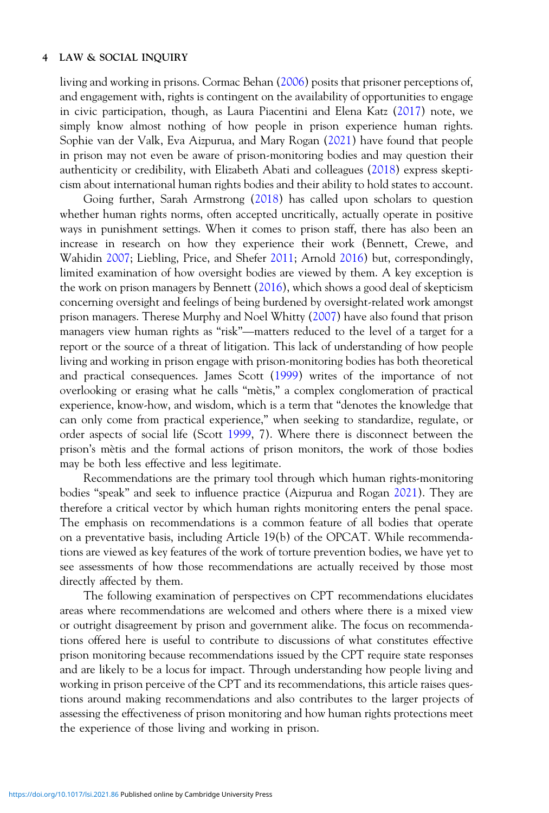living and working in prisons. Cormac Behan ([2006\)](#page-27-0) posits that prisoner perceptions of, and engagement with, rights is contingent on the availability of opportunities to engage in civic participation, though, as Laura Piacentini and Elena Katz ([2017\)](#page-29-0) note, we simply know almost nothing of how people in prison experience human rights. Sophie van der Valk, Eva Aizpurua, and Mary Rogan ([2021\)](#page-30-0) have found that people in prison may not even be aware of prison-monitoring bodies and may question their authenticity or credibility, with Elizabeth Abati and colleagues [\(2018](#page-27-0)) express skepticism about international human rights bodies and their ability to hold states to account.

Going further, Sarah Armstrong ([2018\)](#page-27-0) has called upon scholars to question whether human rights norms, often accepted uncritically, actually operate in positive ways in punishment settings. When it comes to prison staff, there has also been an increase in research on how they experience their work (Bennett, Crewe, and Wahidin [2007](#page-27-0); Liebling, Price, and Shefer [2011](#page-29-0); Arnold [2016\)](#page-27-0) but, correspondingly, limited examination of how oversight bodies are viewed by them. A key exception is the work on prison managers by Bennett [\(2016\)](#page-27-0), which shows a good deal of skepticism concerning oversight and feelings of being burdened by oversight-related work amongst prison managers. Therese Murphy and Noel Whitty ([2007\)](#page-29-0) have also found that prison managers view human rights as "risk"—matters reduced to the level of a target for a report or the source of a threat of litigation. This lack of understanding of how people living and working in prison engage with prison-monitoring bodies has both theoretical and practical consequences. James Scott [\(1999](#page-29-0)) writes of the importance of not overlooking or erasing what he calls "mètis," a complex conglomeration of practical experience, know-how, and wisdom, which is a term that "denotes the knowledge that can only come from practical experience," when seeking to standardize, regulate, or order aspects of social life (Scott [1999](#page-29-0), 7). Where there is disconnect between the prison's mètis and the formal actions of prison monitors, the work of those bodies may be both less effective and less legitimate.

Recommendations are the primary tool through which human rights-monitoring bodies "speak" and seek to influence practice (Aizpurua and Rogan [2021\)](#page-27-0). They are therefore a critical vector by which human rights monitoring enters the penal space. The emphasis on recommendations is a common feature of all bodies that operate on a preventative basis, including Article 19(b) of the OPCAT. While recommendations are viewed as key features of the work of torture prevention bodies, we have yet to see assessments of how those recommendations are actually received by those most directly affected by them.

The following examination of perspectives on CPT recommendations elucidates areas where recommendations are welcomed and others where there is a mixed view or outright disagreement by prison and government alike. The focus on recommendations offered here is useful to contribute to discussions of what constitutes effective prison monitoring because recommendations issued by the CPT require state responses and are likely to be a locus for impact. Through understanding how people living and working in prison perceive of the CPT and its recommendations, this article raises questions around making recommendations and also contributes to the larger projects of assessing the effectiveness of prison monitoring and how human rights protections meet the experience of those living and working in prison.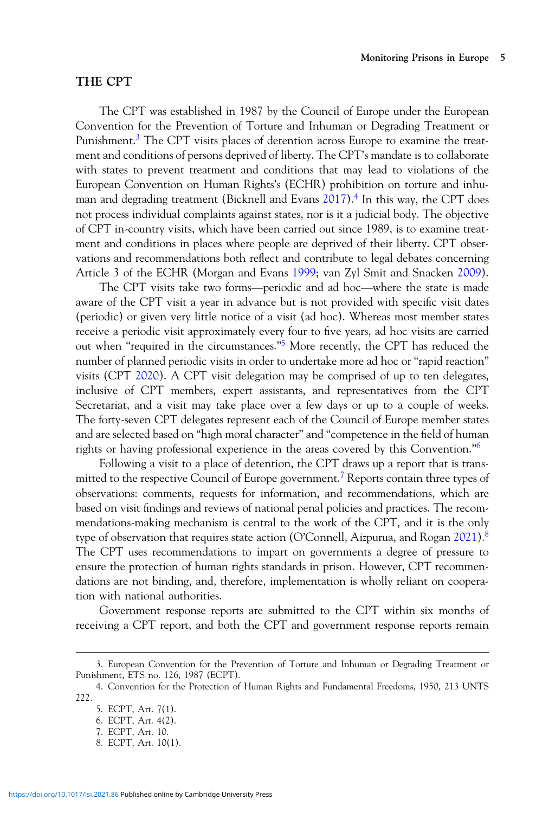## THE CPT

The CPT was established in 1987 by the Council of Europe under the European Convention for the Prevention of Torture and Inhuman or Degrading Treatment or Punishment.<sup>3</sup> The CPT visits places of detention across Europe to examine the treatment and conditions of persons deprived of liberty. The CPT's mandate is to collaborate with states to prevent treatment and conditions that may lead to violations of the European Convention on Human Rights's (ECHR) prohibition on torture and inhuman and degrading treatment (Bicknell and Evans [2017\)](#page-27-0).4 In this way, the CPT does not process individual complaints against states, nor is it a judicial body. The objective of CPT in-country visits, which have been carried out since 1989, is to examine treatment and conditions in places where people are deprived of their liberty. CPT observations and recommendations both reflect and contribute to legal debates concerning Article 3 of the ECHR (Morgan and Evans 1999; van Zyl S vations and recommendations both reflect and contribute to legal debates concerning Article 3 of the ECHR (Morgan and Evans [1999;](#page-29-0) van Zyl Smit and Snacken [2009](#page-30-0)).

aware of the CPT visit a year in advance but is not provided with specific visit dates (periodic) or given very little notice of a visit (ad hoc). Whereas most member states receive a periodic visit approximately every four to five years, ad hoc visits are carried out when "required in the circumstances."<sup>5</sup> More recently, the CPT has reduced the number of planned periodic visits in order to undertake more ad hoc or "rapid reaction" visits (CPT [2020\)](#page-28-0). A CPT visit delegation may be comprised of up to ten delegates, inclusive of CPT members, expert assistants, and representatives from the CPT Secretariat, and a visit may take place over a few days or up to a couple of weeks. The forty-seven CPT delegates represent each of the Council of Europe member states and are selected based on "high moral character" and "competence in the field of human rights or having professional experience in the areas covered by this Convention."<sup>6</sup>

Following a visit to a place of detention, the CPT draws up a report that is transmitted to the respective Council of Europe government.<sup>7</sup> Reports contain three types of observations: comments, requests for information, and recommendations, which are based on visit findings and reviews of national penal policies and practices. The recommendations-making mechanism is central to the work of the CPT, and it is the only type of observation that requires state action (O'Connell, Aizpurua, and Rogan [2021\)](#page-29-0).<sup>8</sup> The CPT uses recommendations to impart on governments a degree of pressure to ensure the protection of human rights standards in prison. However, CPT recommendations are not binding, and, therefore, implementation is wholly reliant on cooperation with national authorities.

Government response reports are submitted to the CPT within six months of receiving a CPT report, and both the CPT and government response reports remain

<sup>3.</sup> European Convention for the Prevention of Torture and Inhuman or Degrading Treatment or Punishment, ETS no. 126, 1987 (ECPT).

<sup>4.</sup> Convention for the Protection of Human Rights and Fundamental Freedoms, 1950, 213 UNTS 222.

<sup>5.</sup> ECPT, Art. 7(1).

<sup>6.</sup> ECPT, Art. 4(2).

<sup>7.</sup> ECPT, Art. 10.

<sup>8.</sup> ECPT, Art. 10(1).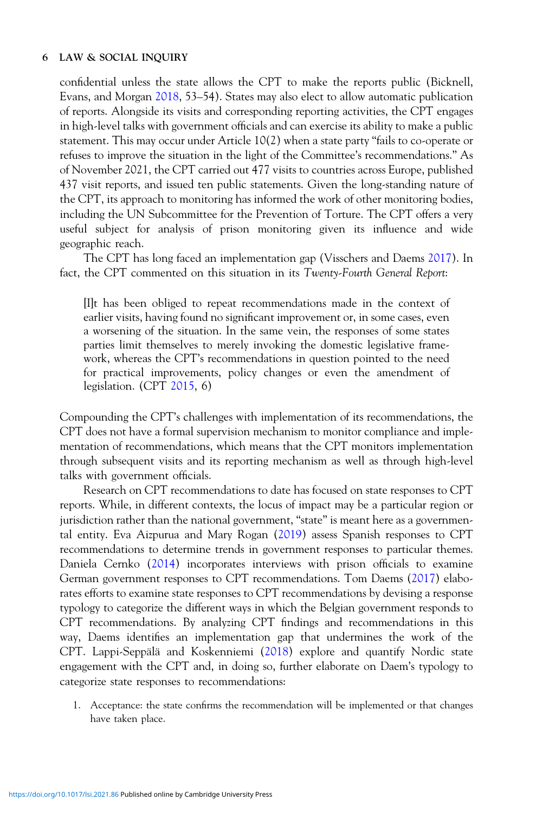confidential unless the state allows the CPT to make the reports public (Bicknell, Evans, and Morgan [2018](#page-27-0), 53–54). States may also elect to allow automatic publication of reports. Alongside its visits and corresponding reporting activities, the CPT engages in high-level talks with government officials and can exercise its ability to make a public statement. This may occur under Article 10(2) when a state party "fails to co-operate or refuses to improve the situation in the light of the Committee's recommendations." As of November 2021, the CPT carried out 477 visits to countries across Europe, published 437 visit reports, and issued ten public statements. Given the long-standing nature of the CPT, its approach to monitoring has informed the work of other monitoring bodies, including the UN Subcommittee for the Prevention of Torture. The CPT offers a very useful subject for analysis of prison monitoring given its influence and wide geographic reach.

The CPT has long faced an implementation gap (Visschers and Daems [2017](#page-30-0)). In fact, the CPT commented on this situation in its Twenty-Fourth General Report:

[I]t has been obliged to repeat recommendations made in the context of earlier visits, having found no significant improvement or, in some cases, even a worsening of the situation. In the same vein, the responses of some states parties limit themselves to merely invoking the domestic legislative framework, whereas the CPT's recommendations in question pointed to the need for practical improvements, policy changes or even the amendment of legislation. (CPT [2015](#page-28-0), 6)

Compounding the CPT's challenges with implementation of its recommendations, the CPT does not have a formal supervision mechanism to monitor compliance and implementation of recommendations, which means that the CPT monitors implementation through subsequent visits and its reporting mechanism as well as through high-level talks with government officials.

Research on CPT recommendations to date has focused on state responses to CPT reports. While, in different contexts, the locus of impact may be a particular region or jurisdiction rather than the national government, "state" is meant here as a governmental entity. Eva Aizpurua and Mary Rogan [\(2019](#page-29-0)) assess Spanish responses to CPT recommendations to determine trends in government responses to particular themes. Daniela Cernko [\(2014](#page-27-0)) incorporates interviews with prison officials to examine German government responses to CPT recommendations. Tom Daems ([2017\)](#page-28-0) elaborates efforts to examine state responses to CPT recommendations by devising a response typology to categorize the different ways in which the Belgian government responds to CPT recommendations. By analyzing CPT findings and recommendations in this way, Daems identifies an implementation gap that undermines the work of the CPT. Lappi-Seppälä and Koskenniemi [\(2018](#page-29-0)) explore and quantify Nordic state engagement with the CPT and, in doing so, further elaborate on Daem's typology to categorize state responses to recommendations:

1. Acceptance: the state confirms the recommendation will be implemented or that changes have taken place.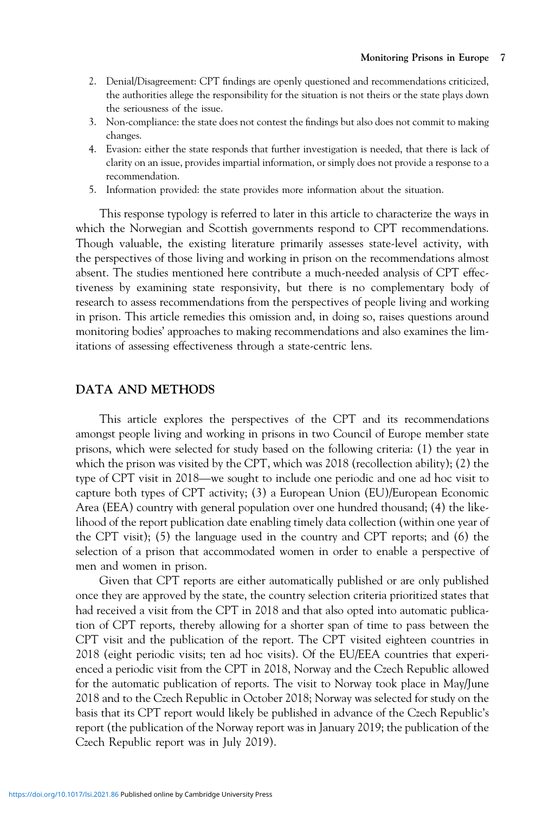- 2. Denial/Disagreement: CPT findings are openly questioned and recommendations criticized, the authorities allege the responsibility for the situation is not theirs or the state plays down the seriousness of the issue.
- 3. Non-compliance: the state does not contest the findings but also does not commit to making changes.
- 4. Evasion: either the state responds that further investigation is needed, that there is lack of clarity on an issue, provides impartial information, or simply does not provide a response to a recommendation.
- 5. Information provided: the state provides more information about the situation.

This response typology is referred to later in this article to characterize the ways in which the Norwegian and Scottish governments respond to CPT recommendations. Though valuable, the existing literature primarily assesses state-level activity, with the perspectives of those living and working in prison on the recommendations almost absent. The studies mentioned here contribute a much-needed analysis of CPT effectiveness by examining state responsivity, but there is no complementary body of research to assess recommendations from the perspectives of people living and working in prison. This article remedies this omission and, in doing so, raises questions around monitoring bodies' approaches to making recommendations and also examines the limitations of assessing effectiveness through a state-centric lens.

## DATA AND METHODS

This article explores the perspectives of the CPT and its recommendations amongst people living and working in prisons in two Council of Europe member state<br>prisons, which were selected for study based on the following criteria: (1) the year in<br>which the prison was visited by the CPT, which was prisons, which were selected for study based on the following criteria: (1) the year in which the prison was visited by the CPT, which was 2018 (recollection ability); (2) the capture both types of CPT activity; (3) a European Union (EU)/European Economic Area (EEA) country with general population over one hundred thousand; (4) the likelihood of the report publication date enabling timely data collection (within one year of the CPT visit); (5) the language used in the country and CPT reports; and (6) the selection of a prison that accommodated women in order to enable a perspective of men and women in prison.

Given that CPT reports are either automatically published or are only published once they are approved by the state, the country selection criteria prioritized states that had received a visit from the CPT in 2018 and that also opted into automatic publication of CPT reports, thereby allowing for a shorter span of time to pass between the CPT visit and the publication of the report. The CPT visited eighteen countries in 2018 (eight periodic visits; ten ad hoc visits). Of the EU/EEA countries that experienced a periodic visit from the CPT in 2018, Norway and the Czech Republic allowed for the automatic publication of reports. The visit to Norway took place in May/June 2018 and to the Czech Republic in October 2018; Norway was selected for study on the basis that its CPT report would likely be published in advance of the Czech Republic's report (the publication of the Norway report was in January 2019; the publication of the Czech Republic report was in July 2019).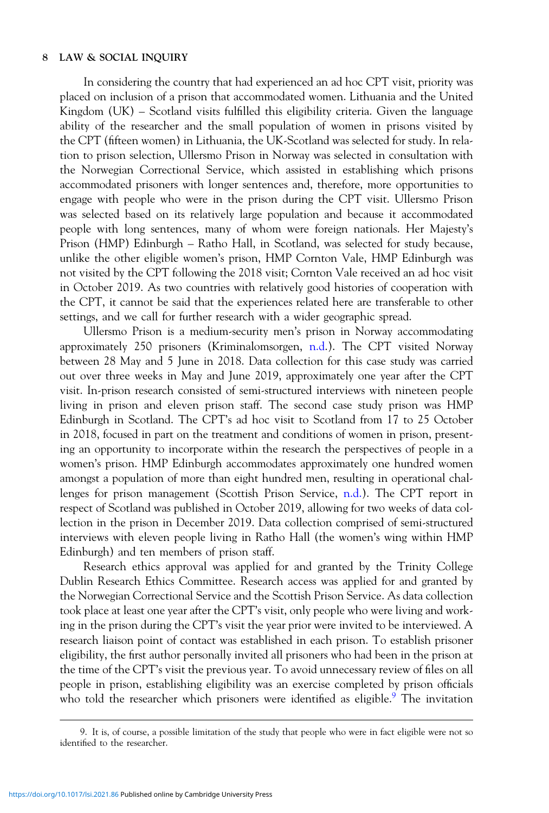In considering the country that had experienced an ad hoc CPT visit, priority was placed on inclusion of a prison that accommodated women. Lithuania and the United Kingdom (UK) – Scotland visits fulfilled this eligibility criteria. Given the language ability of the researcher and the small population of women in prisons visited by the CPT (fifteen women) in Lithuania, the UK-Scotland was selected for study. In relation to prison selection, Ullersmo Prison in Norway was selected in consultation with the Norwegian Correctional Service, which assisted in establishing which prisons accommodated prisoners with longer sentences and, therefore, more opportunities to engage with people who were in the prison during the CPT visit. Ullersmo Prison was selected based on its relatively large population and because it accommodated people with long sentences, many of whom were foreign nationals. Her Majesty's Prison (HMP) Edinburgh – Ratho Hall, in Scotland, was selected for study because, unlike the other eligible women's prison, HMP Cornton Vale, HMP Edinburgh was not visited by the CPT following the 2018 visit; Cornton Vale received an ad hoc visit in October 2019. As two countries with relatively good histories of cooperation with the CPT, it cannot be said that the experiences related here are transferable to other settings, and we call for further research with a wider geographic spread.

Ullersmo Prison is a medium-security men's prison in Norway accommodating approximately 250 prisoners (Kriminalomsorgen, [n.d.](#page-29-0)). The CPT visited Norway between 28 May and 5 June in 2018. Data collection for this case study was carried out over three weeks in May and June 2019, approximately one year after the CPT visit. In-prison research consisted of semi-structured interviews with nineteen people living in prison and eleven prison staff. The second case study prison was HMP Edinburgh in Scotland. The CPT's ad hoc visit to Scotland from 17 to 25 October in 2018, focused in part on the treatment and conditions of women in prison, presenting an opportunity to incorporate within the research the perspectives of people in a women's prison. HMP Edinburgh accommodates approximately one hundred women amongst a population of more than eight hundred men, resulting in operational challenges for prison management (Scottish Prison Service, [n.d.](#page-29-0)). The CPT report in respect of Scotland was published in October 2019, allowing for two weeks of data collection in the prison in December 2019. Data collection comprised of semi-structured interviews with eleven people living in Ratho Hall (the women's wing within HMP Edinburgh) and ten members of prison staff.

Research ethics approval was applied for and granted by the Trinity College Dublin Research Ethics Committee. Research access was applied for and granted by the Norwegian Correctional Service and the Scottish Prison Service. As data collection took place at least one year after the CPT's visit, only people who were living and working in the prison during the CPT's visit the year prior were invited to be interviewed. A research liaison point of contact was established in each prison. To establish prisoner eligibility, the first author personally invited all prisoners who had been in the prison at the time of the CPT's visit the previous year. To avoid unnecessary review of files on all people in prison, establishing eligibility was an exercise completed by prison officials who told the researcher which prisoners were identified as eligible.<sup>9</sup> The invitation

<sup>9.</sup> It is, of course, a possible limitation of the study that people who were in fact eligible were not so identified to the researcher.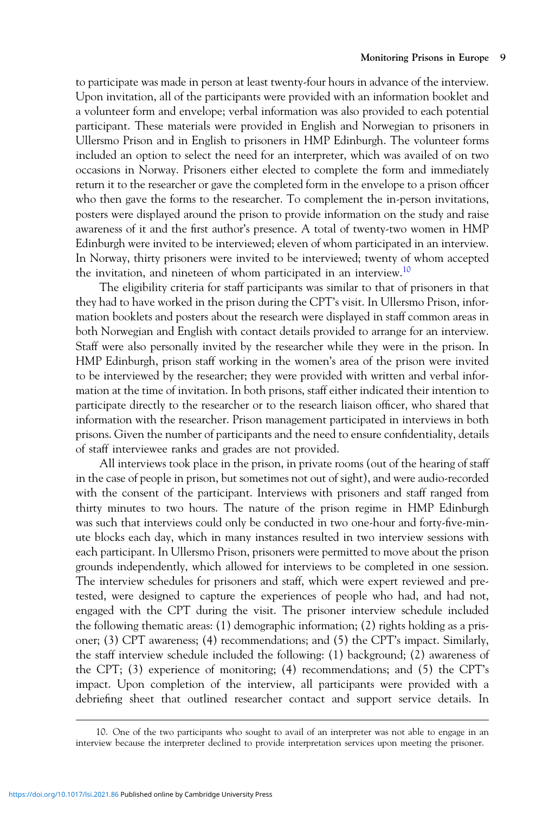to participate was made in person at least twenty-four hours in advance of the interview. Upon invitation, all of the participants were provided with an information booklet and a volunteer form and envelope; verbal information was also provided to each potential participant. These materials were provided in English and Norwegian to prisoners in Ullersmo Prison and in English to prisoners in HMP Edinburgh. The volunteer forms included an option to select the need for an interpreter, which was availed of on two occasions in Norway. Prisoners either elected to complete the form and immediately return it to the researcher or gave the completed form in the envelope to a prison officer who then gave the forms to the researcher. To complement the in-person invitations, posters were displayed around the prison to provide information on the study and raise awareness of it and the first author's presence. A total of twenty-two women in HMP Edinburgh were invited to be interviewed; eleven of whom participated in an interview. In Norway, thirty prisoners were invited to be interviewed; twenty of whom accepted the invitation, and nineteen of whom participated in an interview.<sup>10</sup>

The eligibility criteria for staff participants was similar to that of prisoners in that they had to have worked in the prison during the CPT's visit. In Ullersmo Prison, information booklets and posters about the research were displayed in staff common areas in both Norwegian and English with contact details provided to arrange for an interview. Staff were also personally invited by the researcher while they were in the prison. In HMP Edinburgh, prison staff working in the women's area of the prison were invited to be interviewed by the researcher; they were provided with written and verbal information at the time of invitation. In both prisons, staff either indicated their intention to participate directly to the researcher or to the research liaison officer, who shared that information with the researcher. Prison management participated in interviews in both prisons. Given the number of participants and the need to ensure confidentiality, details of staff interviewee ranks and grades are not provided.

All interviews took place in the prison, in private rooms (out of the hearing of staff in the case of people in prison, but sometimes not out of sight), and were audio-recorded with the consent of the participant. Interviews with prisoners and staff ranged from thirty minutes to two hours. The nature of the prison regime in HMP Edinburgh was such that interviews could only be conducted in two one-hour and forty-five-minute blocks each day, which in many instances resulted in two interview sessions with each participant. In Ullersmo Prison, prisoners were permitted to move about the prison grounds independently, which allowed for interviews to be completed in one session. The interview schedules for prisoners and staff, which were expert reviewed and pretested, were designed to capture the experiences of people who had, and had not, engaged with the CPT during the visit. The prisoner interview schedule included the following thematic areas: (1) demographic information; (2) rights holding as a prisoner; (3) CPT awareness; (4) recommendations; and (5) the CPT's impact. Similarly, the staff interview schedule included the following: (1) background; (2) awareness of the CPT; (3) experience of monitoring; (4) recommendations; and (5) the CPT's impact. Upon completion of the interview, all participants were provided with a debriefing sheet that outlined researcher contact and support service details. In

<sup>10.</sup> One of the two participants who sought to avail of an interpreter was not able to engage in an interview because the interpreter declined to provide interpretation services upon meeting the prisoner.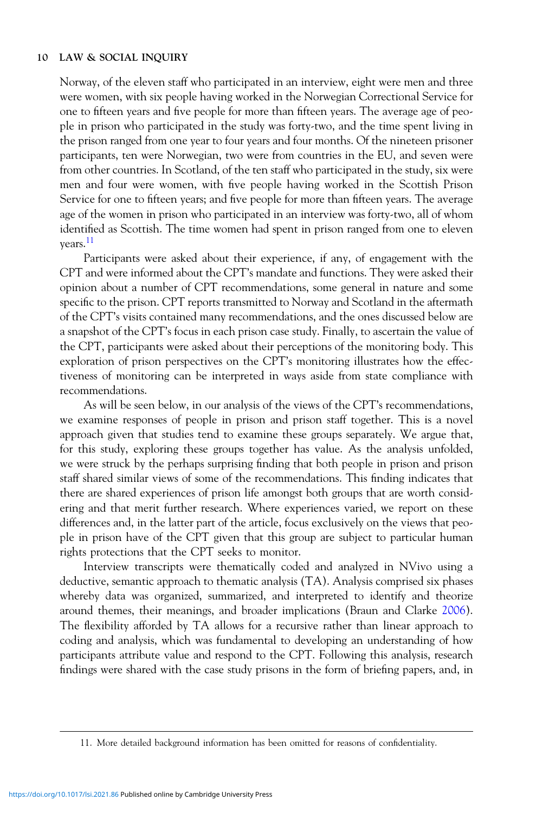Norway, of the eleven staff who participated in an interview, eight were men and three were women, with six people having worked in the Norwegian Correctional Service for one to fifteen years and five people for more than fifteen years. The average age of people in prison who participated in the study was forty-two, and the time spent living in the prison ranged from one year to four years and four months. Of the nineteen prisoner participants, ten were Norwegian, two were from countries in the EU, and seven were from other countries. In Scotland, of the ten staff who participated in the study, six were men and four were women, with five people having worked in the Scottish Prison Service for one to fifteen years; and five people for more than fifteen years. The average age of the women in prison who participated in an interview was forty-two, all of whom identified as Scottish. The time women had spent in prison ranged from one to eleven years.11

Participants were asked about their experience, if any, of engagement with the CPT and were informed about the CPT's mandate and functions. They were asked their opinion about a number of CPT recommendations, some general in nature and some specific to the prison. CPT reports transmitted to Norway and Scotland in the aftermath of the CPT's visits contained many recommendations, and the ones discussed below are a snapshot of the CPT's focus in each prison case study. Finally, to ascertain the value of the CPT, participants were asked about their perceptions of the monitoring body. This exploration of prison perspectives on the CPT's monitoring illustrates how the effectiveness of monitoring can be interpreted in ways aside from state compliance with recommendations.

As will be seen below, in our analysis of the views of the CPT's recommendations, we examine responses of people in prison and prison staff together. This is a novel approach given that studies tend to examine these groups separately. We argue that, for this study, exploring these groups together has value. As the analysis unfolded, we were struck by the perhaps surprising finding that both people in prison and prison staff shared similar views of some of the recommendations. This finding indicates that there are shared experiences of prison life amongst both groups that are worth considering and that merit further research. Where experiences varied, we report on these differences and, in the latter part of the article, focus exclusively on the views that people in prison have of the CPT given that this group are subject to particular human rights protections that the CPT seeks to monitor.

Interview transcripts were thematically coded and analyzed in NVivo using a deductive, semantic approach to thematic analysis (TA). Analysis comprised six phases whereby data was organized, summarized, and interpreted to identify and theorize around themes, their meanings, and broader implications (Braun and Clarke [2006](#page-27-0)). The flexibility afforded by TA allows for a recursive rather than linear approach to coding and analysis, which was fundamental to developing an understanding of how participants attribute value and respond to the CPT. Following this analysis, research findings were shared with the case study prisons in the form of briefing papers, and, in

<sup>11.</sup> More detailed background information has been omitted for reasons of confidentiality.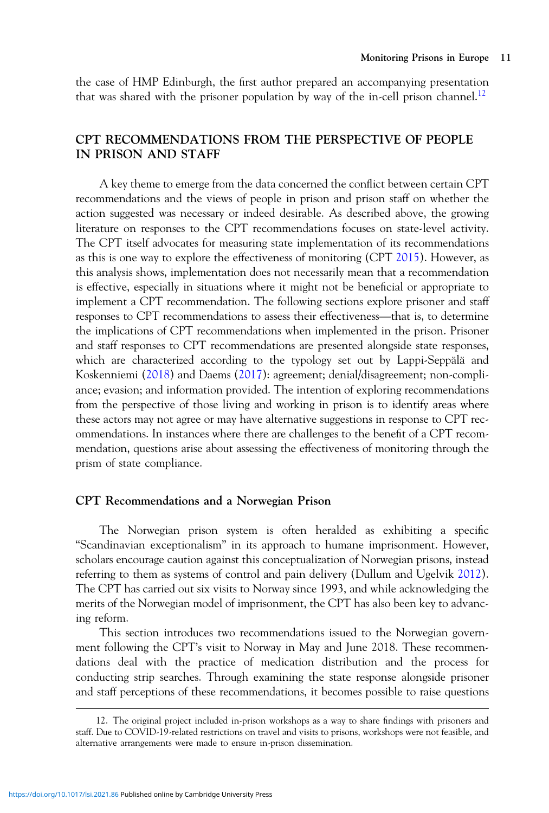the case of HMP Edinburgh, the first author prepared an accompanying presentation that was shared with the prisoner population by way of the in-cell prison channel.<sup>12</sup>

# CPT RECOMMENDATIONS FROM THE PERSPECTIVE OF PEOPLE IN PRISON AND STAFF

A key theme to emerge from the data concerned the conflict between certain CPT recommendations and the views of people in prison and prison staff on whether the action suggested was necessary or indeed desirable. As described above, the growing literature on responses to the CPT recommendations focuses on state-level activity. The CPT itself advocates for measuring state implementation of its recommendations as this is one way to explore the effectiveness of monitoring (CPT [2015\)](#page-28-0). However, as this analysis shows, implementation does not necessarily mean that a recommendation is effective, especially in situations where it might not be beneficial or appropriate to implement a CPT recommendation. The following se is effective, especially in situations where it might not be beneficial or appropriate to implement a CPT recommendation. The following sections explore prisoner and staff the implications of CPT recommendations when implemented in the prison. Prisoner and staff responses to CPT recommendations are presented alongside state responses, which are characterized according to the typology set out by Lappi-Seppälä and Koskenniemi [\(2018](#page-29-0)) and Daems [\(2017](#page-28-0)): agreement; denial/disagreement; non-compliance; evasion; and information provided. The intention of exploring recommendations from the perspective of those living and working in prison is to identify areas where these actors may not agree or may have alternative suggestions in response to CPT recommendations. In instances where there are challenges to the benefit of a CPT recommendation, questions arise about assessing the effectiveness of monitoring through the prism of state compliance.

## CPT Recommendations and a Norwegian Prison

The Norwegian prison system is often heralded as exhibiting a specific "Scandinavian exceptionalism" in its approach to humane imprisonment. However, scholars encourage caution against this conceptualization of Norwegian prisons, instead referring to them as systems of control and pain delivery (Dullum and Ugelvik [2012](#page-28-0)). The CPT has carried out six visits to Norway since 1993, and while acknowledging the merits of the Norwegian model of imprisonment, the CPT has also been key to advancing reform.

This section introduces two recommendations issued to the Norwegian government following the CPT's visit to Norway in May and June 2018. These recommendations deal with the practice of medication distribution and the process for conducting strip searches. Through examining the state response alongside prisoner and staff perceptions of these recommendations, it becomes possible to raise questions

<sup>12.</sup> The original project included in-prison workshops as a way to share findings with prisoners and staff. Due to COVID-19-related restrictions on travel and visits to prisons, workshops were not feasible, and alternative arrangements were made to ensure in-prison dissemination.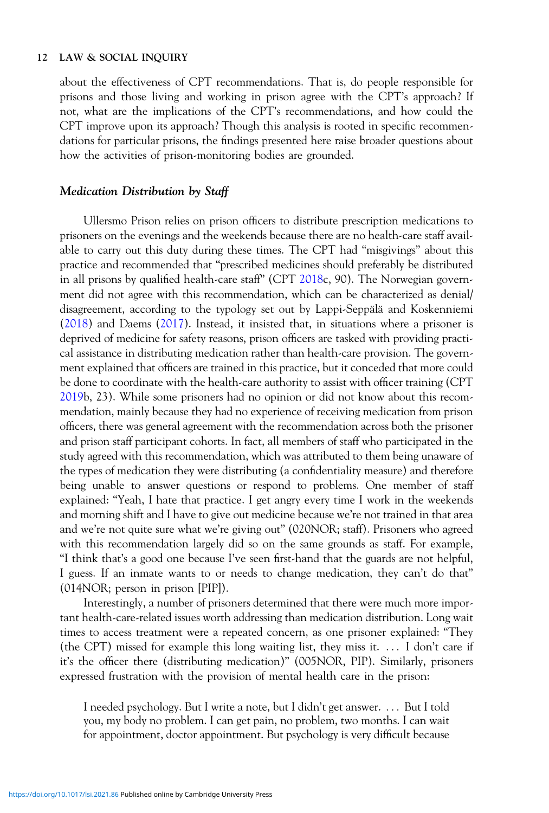about the effectiveness of CPT recommendations. That is, do people responsible for prisons and those living and working in prison agree with the CPT's approach? If not, what are the implications of the CPT's recommendations, and how could the CPT improve upon its approach? Though this analysis is rooted in specific recommendations for particular prisons, the findings presented here raise broader questions about how the activities of prison-monitoring bodies are grounded.

## Medication Distribution by Staff

Ullersmo Prison relies on prison officers to distribute prescription medications to prisoners on the evenings and the weekends because there are no health-care staff available to carry out this duty during these times. The CPT had "misgivings" about this practice and recommended that "prescribed medicines should preferably be distributed in all prisons by qualified health-care staff" (CPT [2018](#page-28-0)c, 90). The Norwegian government did not agree with this recommendation, which can be characterized as denial/ disagreement, according to the typology set out by Lappi-Seppälä and Koskenniemi [\(2018](#page-29-0)) and Daems ([2017\)](#page-28-0). Instead, it insisted that, in situations where a prisoner is deprived of medicine for safety reasons, prison officers are tasked with providing practical assistance in distributing medication rather than health-care provision. The government explained that officers are trained in this practice, but it conceded that more could be done to coordinate with the health-care authority to assist with officer training (CPT [2019b](#page-28-0), 23). While some prisoners had no opinion or did not know about this recommendation, mainly because they had no experience of receiving medication from prison officers, there was general agreement with the recommendation across both the prisoner and prison staff participant cohorts. In fact, all members of staff who participated in the study agreed with this recommendation, which was attributed to them being unaware of the types of medication they were distributing (a confidentiality measure) and therefore being unable to answer questions or respond to problems. One member of staff explained: "Yeah, I hate that practice. I get angry every time I work in the weekends and morning shift and I have to give out medicine because we're not trained in that area and we're not quite sure what we're giving out" (020NOR; staff). Prisoners who agreed with this recommendation largely did so on the same grounds as staff. For example, "I think that's a good one because I've seen first-hand that the guards are not helpful, I guess. If an inmate wants to or needs to change medication, they can't do that" (014NOR; person in prison [PIP]).

Interestingly, a number of prisoners determined that there were much more important health-care-related issues worth addressing than medication distribution. Long wait times to access treatment were a repeated concern, as one prisoner explained: "They (the CPT) missed for example this long waiting list, they miss it.  $\ldots$  I don't care if it's the officer there (distributing medication)" (005NOR, PIP). Similarly, prisoners expressed frustration with the provision of mental health care in the prison:

I needed psychology. But I write a note, but I didn't get answer. ::: But I told you, my body no problem. I can get pain, no problem, two months. I can wait for appointment, doctor appointment. But psychology is very difficult because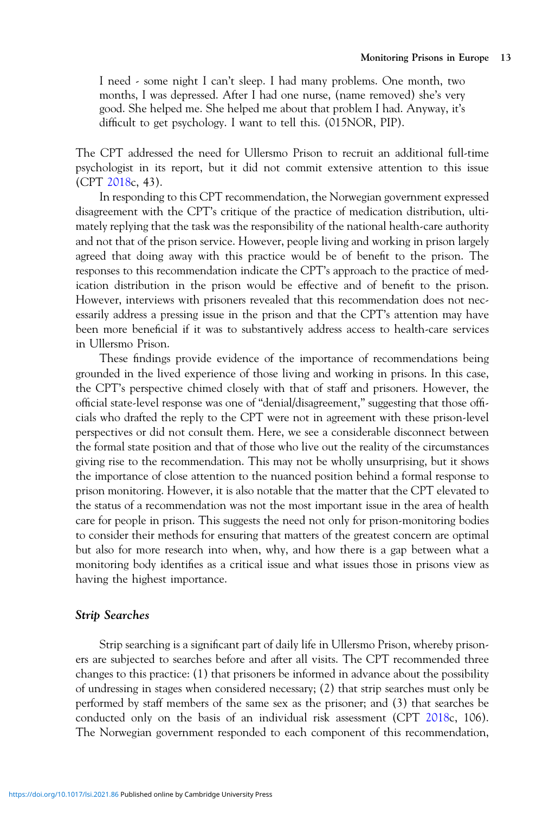I need - some night I can't sleep. I had many problems. One month, two months, I was depressed. After I had one nurse, (name removed) she's very good. She helped me. She helped me about that problem I had. Anyway, it's difficult to get psychology. I want to tell this. (015NOR, PIP).

The CPT addressed the need for Ullersmo Prison to recruit an additional full-time psychologist in its report, but it did not commit extensive attention to this issue (CPT [2018c](#page-28-0), 43).

In responding to this CPT recommendation, the Norwegian government expressed disagreement with the CPT's critique of the practice of medication distribution, ultimately replying that the task was the responsibility of the national health-care authority and not that of the prison service. However, people living and working in prison largely agreed that doing away with this practice would be of benefit to the prison. The responses to this recommendation indicate the CPT's approach to the practice of medication distribution in the prison would be effective and of benefit to the prison. However, interviews with prisoners revealed that this recommendation does not necessarily address a pressing issue in the prison and that the CPT's attention may have been more beneficial if it was to substantively address access to health-care services in Ullersmo Prison.

These findings provide evidence of the importance of recommendations being grounded in the lived experience of those living and working in prisons. In this case, the CPT's perspective chimed closely with that of staff and prisoners. However, the official state-level response was one of "denial/disagreement," suggesting that those officials who drafted the reply to the CPT were not in agreement with these prison-level perspectives or did not consult them. Here, we see a considerable disconnect between the formal state position and that of those who live out the reality of the circumstances giving rise to the recommendation. This may not be wholly unsurprising, but it shows the importance of close attention to the nuanced position behind a formal response to prison monitoring. However, it is also notable that the matter that the CPT elevated to the status of a recommendation was not the most important issue in the area of health care for people in prison. This suggests the need not only for prison-monitoring bodies to consider their methods for ensuring that matters of the greatest concern are optimal but also for more research into when, why, and how there is a gap between what a monitoring body identifies as a critical issue and what issues those in prisons view as having the highest importance.

## Strip Searches

Strip searching is a significant part of daily life in Ullersmo Prison, whereby prisoners are subjected to searches before and after all visits. The CPT recommended three changes to this practice: (1) that prisoners be informed in advance about the possibility of undressing in stages when considered necessary; (2) that strip searches must only be performed by staff members of the same sex as the prisoner; and (3) that searches be conducted only on the basis of an individual risk assessment (CPT [2018](#page-28-0)c, 106). The Norwegian government responded to each component of this recommendation,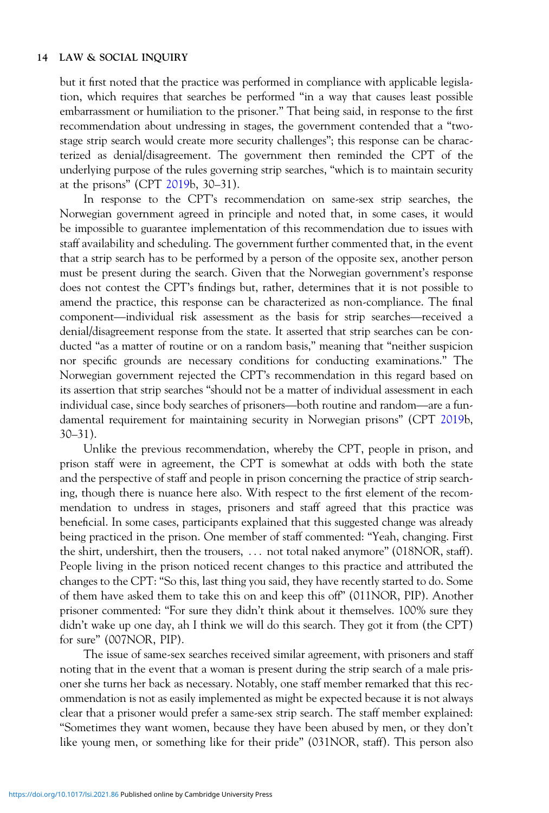but it first noted that the practice was performed in compliance with applicable legislation, which requires that searches be performed "in a way that causes least possible embarrassment or humiliation to the prisoner." That being said, in response to the first recommendation about undressing in stages, the government contended that a "twostage strip search would create more security challenges"; this response can be characterized as denial/disagreement. The government then reminded the CPT of the underlying purpose of the rules governing strip searches, "which is to maintain security at the prisons" (CPT [2019b](#page-28-0), 30–31).

In response to the CPT's recommendation on same-sex strip searches, the Norwegian government agreed in principle and noted that, in some cases, it would be impossible to guarantee implementation of this recommendation due to issues with staff availability and scheduling. The government further commented that, in the event that a strip search has to be performed by a person of the opposite sex, another person must be present during the search. Given that the Norwegian government's response<br>does not contest the CPT's findings but, rather, determines that it is not possible to<br>amend the practice, this response can be characterize does not contest the CPT's findings but, rather, determines that it is not possible to amend the practice, this response can be characterized as non-compliance. The final denial/disagreement response from the state. It asserted that strip searches can be conducted "as a matter of routine or on a random basis," meaning that "neither suspicion nor specific grounds are necessary conditions for conducting examinations." The Norwegian government rejected the CPT's recommendation in this regard based on its assertion that strip searches "should not be a matter of in Norwegian government rejected the CPT's recommendation in this regard based on its assertion that strip searches "should not be a matter of individual assessment in each damental requirement for maintaining security in Norwegian prisons" (CPT [2019](#page-28-0)b, 30–31).

Unlike the previous recommendation, whereby the CPT, people in prison, and prison staff were in agreement, the CPT is somewhat at odds with both the state and the perspective of staff and people in prison concerning the practice of strip searching, though there is nuance here also. With respect to the first element of the recommendation to undress in stages, prisoners and staff agreed that this practice was beneficial. In some cases, participants explained that this suggested change was already being practiced in the prison. One member of staff commented: "Yeah, changing. First the shirt, undershirt, then the trousers, ::: not total naked anymore" (018NOR, staff). People living in the prison noticed recent changes to this practice and attributed the changes to the CPT: "So this, last thing you said, they have recently started to do. Some of them have asked them to take this on and keep this off" (011NOR, PIP). Another prisoner commented: "For sure they didn't think about it themselves. 100% sure they didn't wake up one day, ah I think we will do this search. They got it from (the CPT) for sure" (007NOR, PIP).

The issue of same-sex searches received similar agreement, with prisoners and staff noting that in the event that a woman is present during the strip search of a male prisoner she turns her back as necessary. Notably, one staff member remarked that this recommendation is not as easily implemented as might be expected because it is not always clear that a prisoner would prefer a same-sex strip search. The staff member explained: "Sometimes they want women, because they have been abused by men, or they don't like young men, or something like for their pride" (031NOR, staff). This person also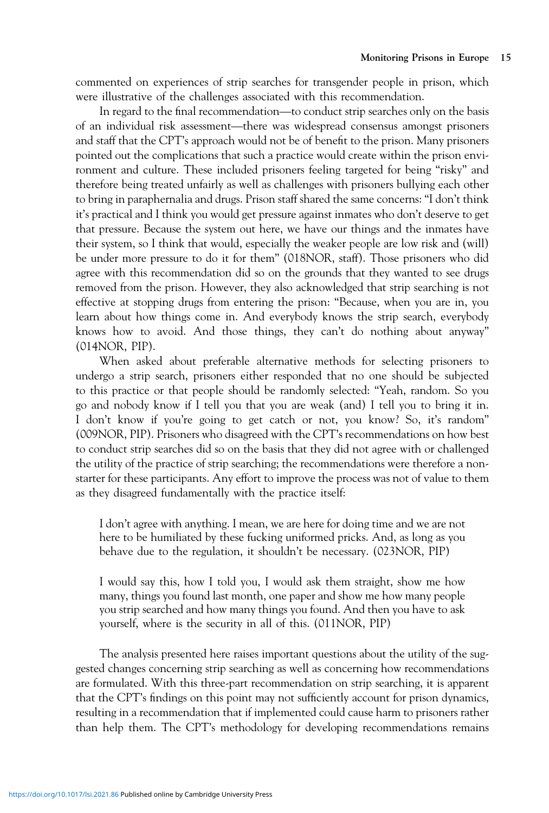commented on experiences of strip searches for transgender people in prison, which were illustrative of the challenges associated with this recommendation. Monitoring Prisons in Europe<br>
Internal recommendation experiences of strip searches for transgender people in prison, which<br>
Integard to the final recommendation—to conduct strip searches only on the basis

commented on experiences of strip searches for transgender people in prison, which<br>were illustrative of the challenges associated with this recommendation.<br>In regard to the final recommendation—to conduct strip searches on and staff that the CPT's approach would not be of benefit to the prison. Many prisoners pointed out the complications that such a practice would create within the prison environment and culture. These included prisoners feeling targeted for being "risky" and therefore being treated unfairly as well as challenges with prisoners bullying each other to bring in paraphernalia and drugs. Prison staff shared the same concerns: "I don't think it's practical and I think you would get pressure against inmates who don't deserve to get that pressure. Because the system out here, we have our things and the inmates have their system, so I think that would, especially the weaker people are low risk and (will) be under more pressure to do it for them" (018NOR, staff). Those prisoners who did agree with this recommendation did so on the grounds that they wanted to see drugs removed from the prison. However, they also acknowledged that strip searching is not effective at stopping drugs from entering the prison: "Because, when you are in, you learn about how things come in. And everybody knows the strip search, everybody knows how to avoid. And those things, they can't do nothing about anyway" (014NOR, PIP).

When asked about preferable alternative methods for selecting prisoners to undergo a strip search, prisoners either responded that no one should be subjected to this practice or that people should be randomly selected: "Yeah, random. So you go and nobody know if I tell you that you are weak (and) I tell you to bring it in. I don't know if you're going to get catch or not, you know? So, it's random" (009NOR, PIP). Prisoners who disagreed with the CPT's recommendations on how best to conduct strip searches did so on the basis that they did not agree with or challenged the utility of the practice of strip searching; the recommendations were therefore a nonstarter for these participants. Any effort to improve the process was not of value to them as they disagreed fundamentally with the practice itself:

I don't agree with anything. I mean, we are here for doing time and we are not here to be humiliated by these fucking uniformed pricks. And, as long as you behave due to the regulation, it shouldn't be necessary. (023NOR, PIP)

I would say this, how I told you, I would ask them straight, show me how many, things you found last month, one paper and show me how many people you strip searched and how many things you found. And then you have to ask yourself, where is the security in all of this. (011NOR, PIP)

The analysis presented here raises important questions about the utility of the suggested changes concerning strip searching as well as concerning how recommendations are formulated. With this three-part recommendation on strip searching, it is apparent that the CPT's findings on this point may not sufficiently account for prison dynamics, resulting in a recommendation that if implemented could cause harm to prisoners rather than help them. The CPT's methodology for developing recommendations remains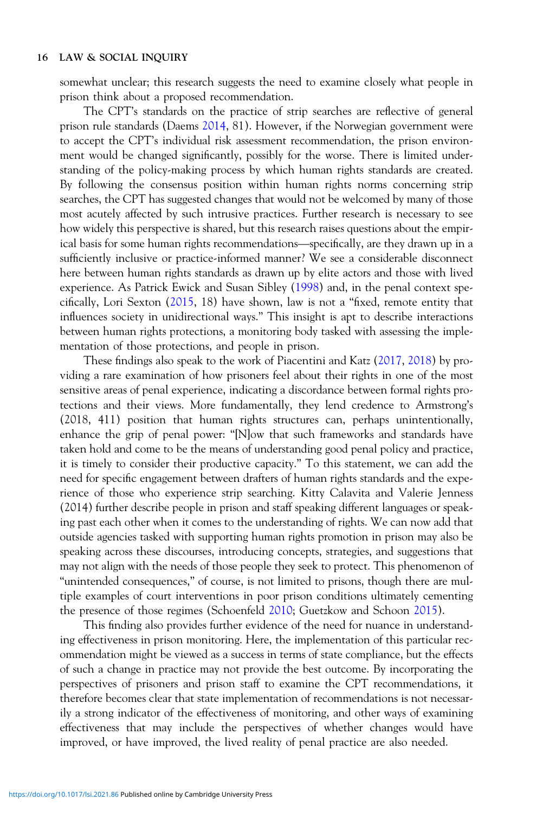somewhat unclear; this research suggests the need to examine closely what people in prison think about a proposed recommendation.

The CPT's standards on the practice of strip searches are reflective of general prison rule standards (Daems [2014](#page-28-0), 81). However, if the Norwegian government were to accept the CPT's individual risk assessment recommendation, the prison environment would be changed significantly, possibly for the worse. There is limited understanding of the policy-making process by which human rights standards are created. By following the consensus position within human rights norms concerning strip Expression, the CPT has suggested changes that would not be welcomed by many of those most acutely affected by such intrusive practices. Further research is necessary to see how widely this perspective is shared, but this most acutely affected by such intrusive practices. Further research is necessary to see how widely this perspective is shared, but this research raises questions about the empirsufficiently inclusive or practice-informed manner? We see a considerable disconnect here between human rights standards as drawn up by elite actors and those with lived experience. As Patrick Ewick and Susan Sibley [\(1998](#page-28-0)) and, in the penal context specifically, Lori Sexton ([2015,](#page-29-0) 18) have shown, law is not a "fixed, remote entity that influences society in unidirectional ways." This insight is apt to describe interactions between human rights protections, a monitoring body tasked with assessing the implementation of those protections, and people in prison.

These findings also speak to the work of Piacentini and Katz ([2017,](#page-29-0) [2018](#page-29-0)) by providing a rare examination of how prisoners feel about their rights in one of the most sensitive areas of penal experience, indicating a discordance between formal rights protections and their views. More fundamentally, they lend credence to Armstrong's (2018, 411) position that human rights structures can, perhaps unintentionally, enhance the grip of penal power: "[N]ow that such frameworks and standards have taken hold and come to be the means of understanding good penal policy and practice, it is timely to consider their productive capacity." To this statement, we can add the need for specific engagement between drafters of human rights standards and the experience of those who experience strip searching. Kitty Calavita and Valerie Jenness (2014) further describe people in prison and staff speaking different languages or speaking past each other when it comes to the understanding of rights. We can now add that outside agencies tasked with supporting human rights promotion in prison may also be speaking across these discourses, introducing concepts, strategies, and suggestions that may not align with the needs of those people they seek to protect. This phenomenon of "unintended consequences," of course, is not limited to prisons, though there are multiple examples of court interventions in poor prison conditions ultimately cementing the presence of those regimes (Schoenfeld [2010](#page-29-0); Guetzkow and Schoon [2015](#page-28-0)).

This finding also provides further evidence of the need for nuance in understanding effectiveness in prison monitoring. Here, the implementation of this particular recommendation might be viewed as a success in terms of state compliance, but the effects of such a change in practice may not provide the best outcome. By incorporating the perspectives of prisoners and prison staff to examine the CPT recommendations, it therefore becomes clear that state implementation of recommendations is not necessarily a strong indicator of the effectiveness of monitoring, and other ways of examining effectiveness that may include the perspectives of whether changes would have improved, or have improved, the lived reality of penal practice are also needed.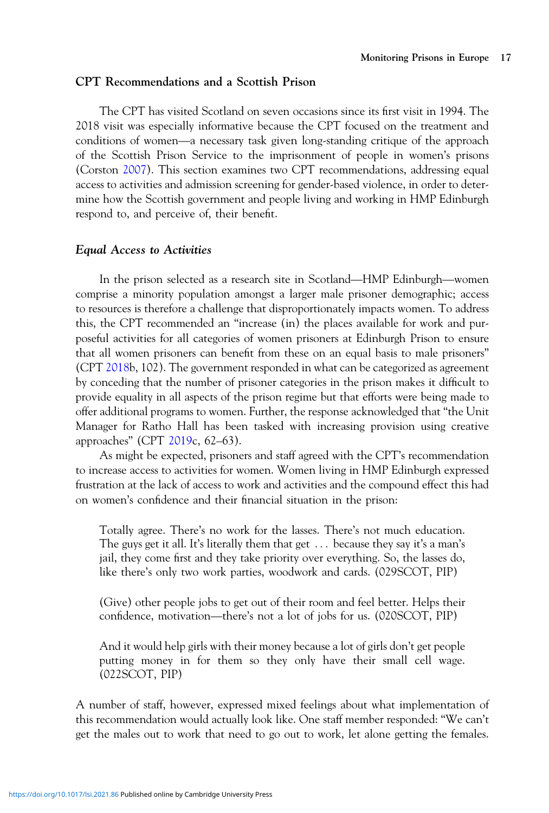## CPT Recommendations and a Scottish Prison

The CPT has visited Scotland on seven occasions since its first visit in 1994. The 2018 visit was especially informative because the CPT focused on the treatment and The CPT has visited Scotland on seven occasions since its first visit in 1994. The 2018 visit was especially informative because the CPT focused on the treatment and conditions of women—a necessary task given long-standing of the Scottish Prison Service to the imprisonment of people in women's prisons (Corston [2007\)](#page-27-0). This section examines two CPT recommendations, addressing equal access to activities and admission screening for gender-based violence, in order to determine how the Scottish government and people living and working in HMP Edinburgh respond to, and perceive of, their benefit.

## Equal Access to Activities

In the prison selected as a research site in Scotland—HMP Edinburgh—women comprise a minority population amongst a larger male prisoner demographic; access to resources is therefore a challenge that disproportionately impacts women. To address this, the CPT recommended an "increase (in) the places available for work and purposeful activities for all categories of women prisoners at Edinburgh Prison to ensure that all women prisoners can benefit from these on an equal basis to male prisoners" (CPT [2018b](#page-28-0), 102). The government responded in what can be categorized as agreement by conceding that the number of prisoner categories in the prison makes it difficult to provide equality in all aspects of the prison regime but that efforts were being made to offer additional programs to women. Further, the response acknowledged that "the Unit Manager for Ratho Hall has been tasked with increasing provision using creative approaches" (CPT [2019](#page-28-0)c, 62–63).

As might be expected, prisoners and staff agreed with the CPT's recommendation to increase access to activities for women. Women living in HMP Edinburgh expressed frustration at the lack of access to work and activities and the compound effect this had on women's confidence and their financial situation in the prison:

Totally agree. There's no work for the lasses. There's not much education. The guys get it all. It's literally them that get  $\ldots$  because they say it's a man's jail, they come first and they take priority over everything. So, the lasses do,

like there's only two work parties, woodwork and cards. (029SCOT, PIP)<br>(Give) other people jobs to get out of their room and feel better. Helps the<br>confidence, motivation—there's not a lot of jobs for us. (020SCOT, PIP) (Give) other people jobs to get out of their room and feel better. Helps their

And it would help girls with their money because a lot of girls don't get people putting money in for them so they only have their small cell wage. (022SCOT, PIP)

A number of staff, however, expressed mixed feelings about what implementation of this recommendation would actually look like. One staff member responded: "We can't get the males out to work that need to go out to work, let alone getting the females.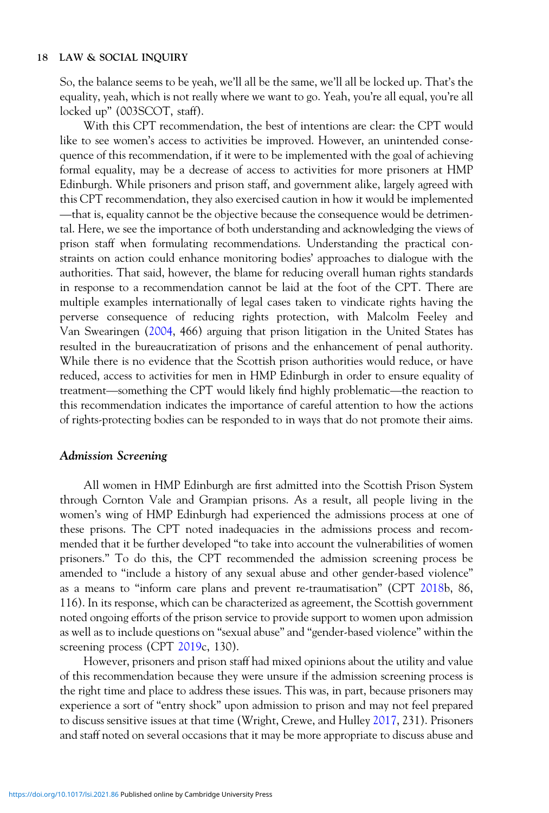So, the balance seems to be yeah, we'll all be the same, we'll all be locked up. That's the equality, yeah, which is not really where we want to go. Yeah, you're all equal, you're all locked up" (003SCOT, staff).

With this CPT recommendation, the best of intentions are clear: the CPT would like to see women's access to activities be improved. However, an unintended consequence of this recommendation, if it were to be implemented with the goal of achieving formal equality, may be a decrease of access to activities for more prisoners at HMP Edinburgh. While prisoners and prison staff, and government alike, largely agreed with this CPT recommendation, they also exercised caution in how it would be implemented that is, equality cannot be the objective because the consequence would be detrimental. Here, we see the importance of both understanding and acknowledging the views of prison staff when formulating recommendations. Understanding the practical constraints on action could enhance monitoring bodies' approaches to dialogue with the authorities. That said, however, the blame for reducing overall human rights standards in response to a recommendation cannot be laid at the foot of the CPT. There are multiple examples internationally of legal cases taken to vindicate rights having the perverse consequence of reducing rights protection, with Malcolm Feeley and Van Swearingen ([2004,](#page-28-0) 466) arguing that prison litigation in the United States has resulted in the bureaucratization of prisons and the enhancement of penal authority.<br>While there is no evidence that the Scottish prison authorities would reduce, or have<br>reduced, access to activities for men in HMP Edinbu While there is no evidence that the Scottish prison authorities would reduce, or have reduced, access to activities for men in HMP Edinburgh in order to ensure equality of this recommendation indicates the importance of careful attention to how the actions of rights-protecting bodies can be responded to in ways that do not promote their aims.

## Admission Screening

All women in HMP Edinburgh are first admitted into the Scottish Prison System through Cornton Vale and Grampian prisons. As a result, all people living in the women's wing of HMP Edinburgh had experienced the admissions process at one of these prisons. The CPT noted inadequacies in the admissions process and recommended that it be further developed "to take into account the vulnerabilities of women prisoners." To do this, the CPT recommended the admission screening process be amended to "include a history of any sexual abuse and other gender-based violence" as a means to "inform care plans and prevent re-traumatisation" (CPT [2018](#page-28-0)b, 86, 116). In its response, which can be characterized as agreement, the Scottish government noted ongoing efforts of the prison service to provide support to women upon admission as well as to include questions on "sexual abuse" and "gender-based violence" within the screening process (CPT [2019c](#page-28-0), 130).

However, prisoners and prison staff had mixed opinions about the utility and value of this recommendation because they were unsure if the admission screening process is the right time and place to address these issues. This was, in part, because prisoners may experience a sort of "entry shock" upon admission to prison and may not feel prepared to discuss sensitive issues at that time (Wright, Crewe, and Hulley [2017](#page-30-0), 231). Prisoners and staff noted on several occasions that it may be more appropriate to discuss abuse and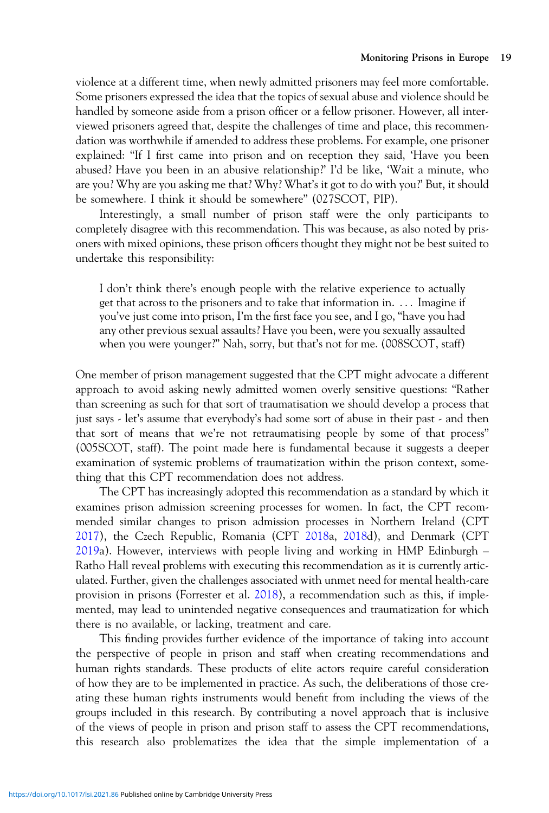violence at a different time, when newly admitted prisoners may feel more comfortable. Some prisoners expressed the idea that the topics of sexual abuse and violence should be handled by someone aside from a prison officer or a fellow prisoner. However, all interviewed prisoners agreed that, despite the challenges of time and place, this recommendation was worthwhile if amended to address these problems. For example, one prisoner explained: "If I first came into prison and on reception they said, 'Have you been abused? Have you been in an abusive relationship?' I'd be like, 'Wait a minute, who are you? Why are you asking me that? Why? What's it got to do with you?' But, it should be somewhere. I think it should be somewhere" (027SCOT, PIP).

Interestingly, a small number of prison staff were the only participants to completely disagree with this recommendation. This was because, as also noted by prisoners with mixed opinions, these prison officers thought they might not be best suited to undertake this responsibility:

I don't think there's enough people with the relative experience to actually get that across to the prisoners and to take that information in. ::: Imagine if you've just come into prison, I'm the first face you see, and I go, "have you had any other previous sexual assaults? Have you been, were you sexually assaulted when you were younger?" Nah, sorry, but that's not for me. (008SCOT, staff)

One member of prison management suggested that the CPT might advocate a different approach to avoid asking newly admitted women overly sensitive questions: "Rather than screening as such for that sort of traumatisation we should develop a process that just says - let's assume that everybody's had some sort of abuse in their past - and then that sort of means that we're not retraumatising people by some of that process" (005SCOT, staff). The point made here is fundamental because it suggests a deeper examination of systemic problems of traumatization within the prison context, something that this CPT recommendation does not address.

The CPT has increasingly adopted this recommendation as a standard by which it examines prison admission screening processes for women. In fact, the CPT recommended similar changes to prison admission processes in Northern Ireland (CPT [2017\)](#page-28-0), the Czech Republic, Romania (CPT [2018](#page-28-0)a, [2018](#page-28-0)d), and Denmark (CPT [2019a](#page-28-0)). However, interviews with people living and working in HMP Edinburgh – Ratho Hall reveal problems with executing this recommendation as it is currently articulated. Further, given the challenges associated with unmet need for mental health-care provision in prisons (Forrester et al. [2018](#page-28-0)), a recommendation such as this, if implemented, may lead to unintended negative consequences and traumatization for which there is no available, or lacking, treatment and care.

This finding provides further evidence of the importance of taking into account the perspective of people in prison and staff when creating recommendations and human rights standards. These products of elite actors require careful consideration of how they are to be implemented in practice. As such, the deliberations of those creating these human rights instruments would benefit from including the views of the groups included in this research. By contributing a novel approach that is inclusive of the views of people in prison and prison staff to assess the CPT recommendations, this research also problematizes the idea that the simple implementation of a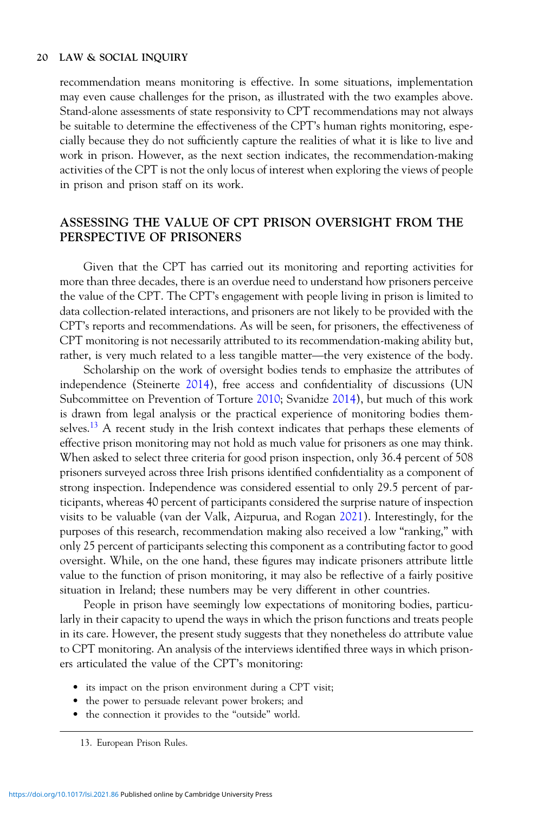recommendation means monitoring is effective. In some situations, implementation may even cause challenges for the prison, as illustrated with the two examples above. Stand-alone assessments of state responsivity to CPT recommendations may not always be suitable to determine the effectiveness of the CPT's human rights monitoring, especially because they do not sufficiently capture the realities of what it is like to live and work in prison. However, as the next section indicates, the recommendation-making activities of the CPT is not the only locus of interest when exploring the views of people in prison and prison staff on its work.

# ASSESSING THE VALUE OF CPT PRISON OVERSIGHT FROM THE PERSPECTIVE OF PRISONERS

Given that the CPT has carried out its monitoring and reporting activities for more than three decades, there is an overdue need to understand how prisoners perceive the value of the CPT. The CPT's engagement with people living in prison is limited to data collection-related interactions, and prisoners are not likely to be provided with the CPT's reports and recommendations. As will be seen, for prisoners, the effectiveness of CPT monitoring is not necessarily attribute CPT's reports and recommendations. As will be seen, for prisoners, the effectiveness of CPT monitoring is not necessarily attributed to its recommendation-making ability but,

Scholarship on the work of oversight bodies tends to emphasize the attributes of independence (Steinerte [2014](#page-29-0)), free access and confidentiality of discussions (UN Subcommittee on Prevention of Torture [2010](#page-30-0); Svanidze [2014](#page-30-0)), but much of this work is drawn from legal analysis or the practical experience of monitoring bodies themselves.<sup>13</sup> A recent study in the Irish context indicates that perhaps these elements of effective prison monitoring may not hold as much value for prisoners as one may think. When asked to select three criteria for good prison inspection, only 36.4 percent of 508 prisoners surveyed across three Irish prisons identified confidentiality as a component of strong inspection. Independence was considered essential to only 29.5 percent of participants, whereas 40 percent of participants considered the surprise nature of inspection visits to be valuable (van der Valk, Aizpurua, and Rogan [2021\)](#page-30-0). Interestingly, for the purposes of this research, recommendation making also received a low "ranking," with only 25 percent of participants selecting this component as a contributing factor to good oversight. While, on the one hand, these figures may indicate prisoners attribute little value to the function of prison monitoring, it may also be reflective of a fairly positive situation in Ireland; these numbers may be very different in other countries.

People in prison have seemingly low expectations of monitoring bodies, particularly in their capacity to upend the ways in which the prison functions and treats people in its care. However, the present study suggests that they nonetheless do attribute value to CPT monitoring. An analysis of the interviews identified three ways in which prisoners articulated the value of the CPT's monitoring:

- its impact on the prison environment during a CPT visit;
- the power to persuade relevant power brokers; and
- the connection it provides to the "outside" world.

13. European Prison Rules.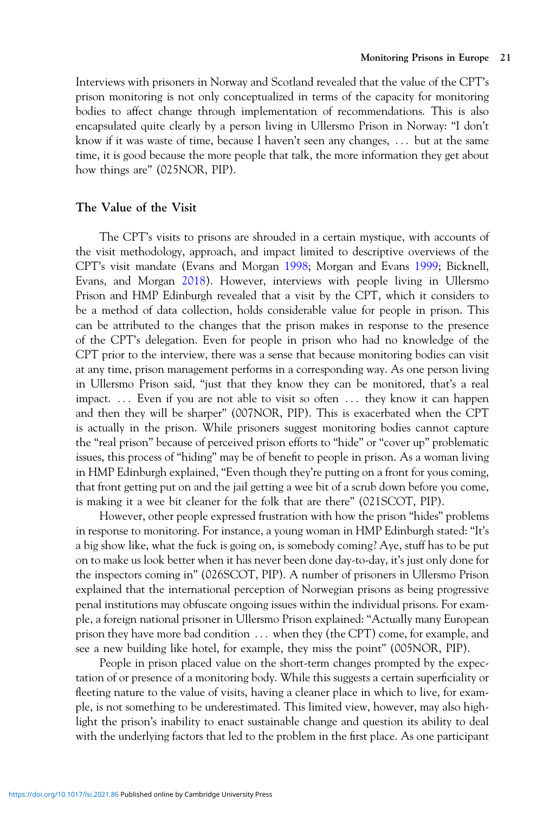Interviews with prisoners in Norway and Scotland revealed that the value of the CPT's prison monitoring is not only conceptualized in terms of the capacity for monitoring bodies to affect change through implementation of recommendations. This is also encapsulated quite clearly by a person living in Ullersmo Prison in Norway: "I don't know if it was waste of time, because I haven't seen any changes, ::: but at the same time, it is good because the more people that talk, the more information they get about how things are" (025NOR, PIP).

## The Value of the Visit

The CPT's visits to prisons are shrouded in a certain mystique, with accounts of the visit methodology, approach, and impact limited to descriptive overviews of the CPT's visit mandate (Evans and Morgan [1998;](#page-28-0) Morgan and Evans [1999](#page-29-0); Bicknell, Evans, and Morgan [2018](#page-27-0)). However, interviews with people living in Ullersmo Prison and HMP Edinburgh revealed that a visit by the CPT, which it considers to be a method of data collection, holds considerable value for people in prison. This can be attributed to the changes that the prison makes in response to the presence of the CPT's delegation. Even for people in prison who had no knowledge of the CPT prior to the interview, there was a sense that because monitoring bodies can visit at any time, prison management performs in a corresponding way. As one person living in Ullersmo Prison said, "just that they know they can be monitored, that's a real impact. ... Even if you are not able to visit so often ... they know it can happen and then they will be sharper" (007NOR, PIP). This is exacerbated when the CPT is actually in the prison. While prisoners suggest monitoring bodies cannot capture the "real prison" because of perceived prison efforts to "hide" or "cover up" problematic issues, this process of "hiding" may be of benefit to people in prison. As a woman living in HMP Edinburgh explained, "Even though they're putting on a front for yous coming, that front getting put on and the jail getting a wee bit of a scrub down before you come, is making it a wee bit cleaner for the folk that are there" (021SCOT, PIP).

However, other people expressed frustration with how the prison "hides" problems in response to monitoring. For instance, a young woman in HMP Edinburgh stated: "It's a big show like, what the fuck is going on, is somebody coming? Aye, stuff has to be put on to make us look better when it has never been done day-to-day, it's just only done for the inspectors coming in" (026SCOT, PIP). A number of prisoners in Ullersmo Prison explained that the international perception of Norwegian prisons as being progressive penal institutions may obfuscate ongoing issues within the individual prisons. For example, a foreign national prisoner in Ullersmo Prison explained: "Actually many European prison they have more bad condition ::: when they (the CPT) come, for example, and see a new building like hotel, for example, they miss the point" (005NOR, PIP).

People in prison placed value on the short-term changes prompted by the expectation of or presence of a monitoring body. While this suggests a certain superficiality or fleeting nature to the value of visits, having a cleaner place in which to live, for example, is not something to be underestimated. This limited view, however, may also highlight the prison's inability to enact sustainable change and question its ability to deal with the underlying factors that led to the problem in the first place. As one participant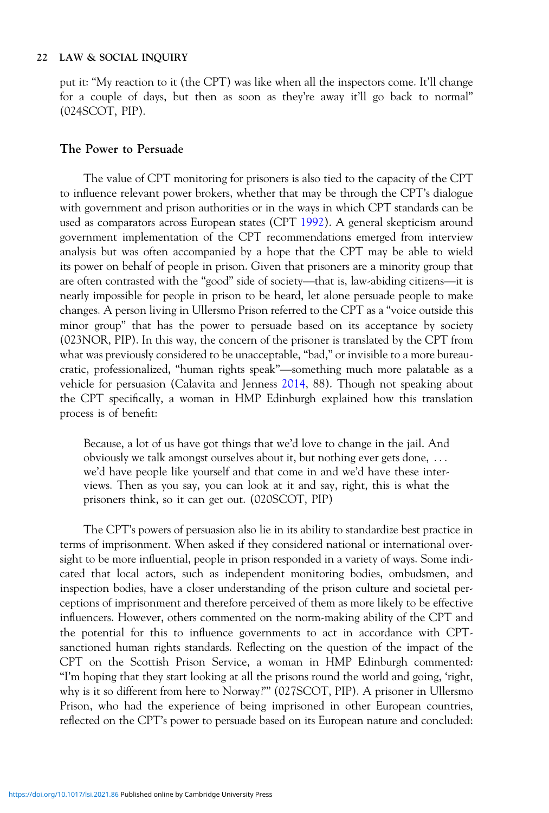put it: "My reaction to it (the CPT) was like when all the inspectors come. It'll change for a couple of days, but then as soon as they're away it'll go back to normal" (024SCOT, PIP).

## The Power to Persuade

The value of CPT monitoring for prisoners is also tied to the capacity of the CPT to influence relevant power brokers, whether that may be through the CPT's dialogue with government and prison authorities or in the ways in which CPT standards can be used as comparators across European states (CPT [1992](#page-28-0)). A general skepticism around government implementation of the CPT recommendations emerged from interview<br>analysis but was often accompanied by a hope that the CPT may be able to wield<br>its power on behalf of people in prison. Given that prisoners are a analysis but was often accompanied by a hope that the CPT may be able to wield its power on behalf of people in prison. Given that prisoners are a minority group that nearly impossible for people in prison to be heard, let alone persuade people to make changes. A person living in Ullersmo Prison referred to the CPT as a "voice outside this minor group" that has the power to persuade based on its acceptance by society (023NOR, PIP). In this way, the concern of the prisoner is translated by the CPT from what was previously considered to be unacceptable, "bad," or invisible to a more bureaucratic, professionalized, "human rights speak"—something much more palatable by society (023NOR, PIP). In this way, the concern of the prisoner is translated by the CPT from what was previously considered to be unacceptabl vehicle for persuasion (Calavita and Jenness [2014,](#page-27-0) 88). Though not speaking about the CPT specifically, a woman in HMP Edinburgh explained how this translation process is of benefit:

Because, a lot of us have got things that we'd love to change in the jail. And obviously we talk amongst ourselves about it, but nothing ever gets done, ::: we'd have people like yourself and that come in and we'd have these interviews. Then as you say, you can look at it and say, right, this is what the prisoners think, so it can get out. (020SCOT, PIP)

The CPT's powers of persuasion also lie in its ability to standardize best practice in terms of imprisonment. When asked if they considered national or international oversight to be more influential, people in prison responded in a variety of ways. Some indicated that local actors, such as independent monitoring bodies, ombudsmen, and inspection bodies, have a closer understanding of the prison culture and societal perceptions of imprisonment and therefore perceived of them as more likely to be effective influencers. However, others commented on the norm-making ability of the CPT and the potential for this to influence governments to act in accordance with CPTsanctioned human rights standards. Reflecting on the question of the impact of the CPT on the Scottish Prison Service, a woman in HMP Edinburgh commented: "I'm hoping that they start looking at all the prisons round the world and going, 'right, why is it so different from here to Norway?'" (027SCOT, PIP). A prisoner in Ullersmo Prison, who had the experience of being imprisoned in other European countries, reflected on the CPT's power to persuade based on its European nature and concluded: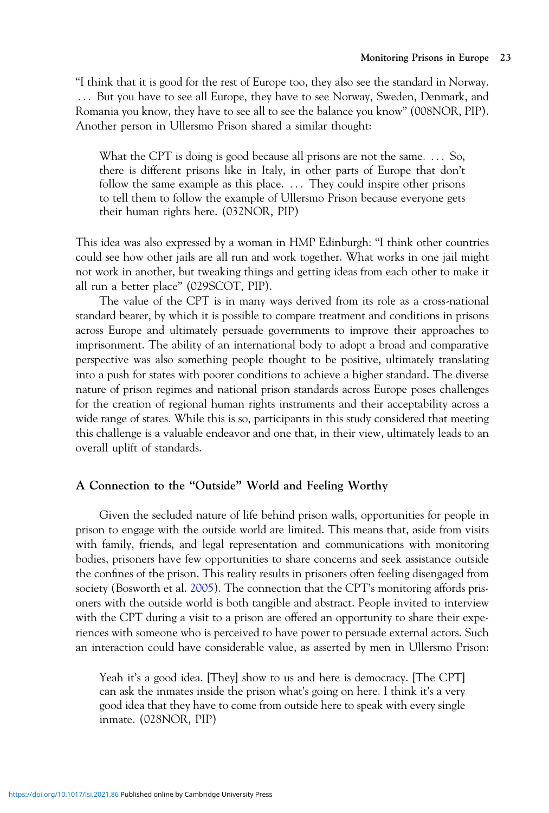"I think that it is good for the rest of Europe too, they also see the standard in Norway. ::: But you have to see all Europe, they have to see Norway, Sweden, Denmark, and Romania you know, they have to see all to see the balance you know" (008NOR, PIP). Another person in Ullersmo Prison shared a similar thought:

What the CPT is doing is good because all prisons are not the same.... So, there is different prisons like in Italy, in other parts of Europe that don't follow the same example as this place. ... They could inspire other prisons to tell them to follow the example of Ullersmo Prison because everyone gets their human rights here. (032NOR, PIP)

This idea was also expressed by a woman in HMP Edinburgh: "I think other countries could see how other jails are all run and work together. What works in one jail might not work in another, but tweaking things and getting ideas from each other to make it all run a better place" (029SCOT, PIP).

The value of the CPT is in many ways derived from its role as a cross-national standard bearer, by which it is possible to compare treatment and conditions in prisons across Europe and ultimately persuade governments to improve their approaches to imprisonment. The ability of an international body to adopt a broad and comparative perspective was also something people thought to be positive, ultimately translating into a push for states with poorer conditions to achieve a higher standard. The diverse nature of prison regimes and national prison standards across Europe poses challenges for the creation of regional human rights instruments and their acceptability across a wide range of states. While this is so, participants in this study considered that meeting this challenge is a valuable endeavor and one that, in their view, ultimately leads to an overall uplift of standards.

## A Connection to the "Outside" World and Feeling Worthy

Given the secluded nature of life behind prison walls, opportunities for people in prison to engage with the outside world are limited. This means that, aside from visits with family, friends, and legal representation and communications with monitoring bodies, prisoners have few opportunities to share concerns and seek assistance outside the confines of the prison. This reality results in prisoners often feeling disengaged from society (Bosworth et al. [2005](#page-27-0)). The connection that the CPT's monitoring affords prisoners with the outside world is both tangible and abstract. People invited to interview with the CPT during a visit to a prison are offered an opportunity to share their experiences with someone who is perceived to have power to persuade external actors. Such an interaction could have considerable value, as asserted by men in Ullersmo Prison:

Yeah it's a good idea. [They] show to us and here is democracy. [The CPT] can ask the inmates inside the prison what's going on here. I think it's a very good idea that they have to come from outside here to speak with every single inmate. (028NOR, PIP)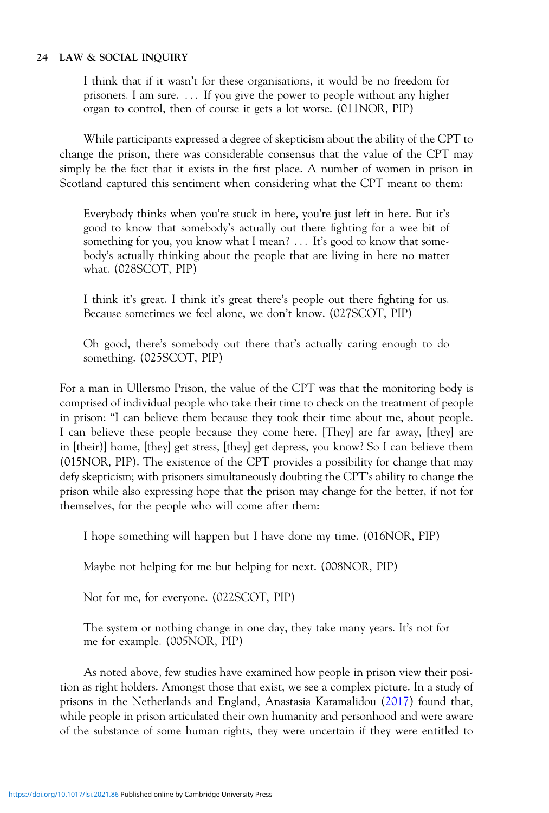I think that if it wasn't for these organisations, it would be no freedom for prisoners. I am sure. ::: If you give the power to people without any higher organ to control, then of course it gets a lot worse. (011NOR, PIP)

While participants expressed a degree of skepticism about the ability of the CPT to change the prison, there was considerable consensus that the value of the CPT may simply be the fact that it exists in the first place. A number of women in prison in Scotland captured this sentiment when considering what the CPT meant to them:

Everybody thinks when you're stuck in here, you're just left in here. But it's good to know that somebody's actually out there fighting for a wee bit of something for you, you know what I mean? ... It's good to know that somebody's actually thinking about the people that are living in here no matter what. (028SCOT, PIP)

I think it's great. I think it's great there's people out there fighting for us. Because sometimes we feel alone, we don't know. (027SCOT, PIP)

Oh good, there's somebody out there that's actually caring enough to do something. (025SCOT, PIP)

For a man in Ullersmo Prison, the value of the CPT was that the monitoring body is comprised of individual people who take their time to check on the treatment of people in prison: "I can believe them because they took their time about me, about people. I can believe these people because they come here. [They] are far away, [they] are in [their)] home, [they] get stress, [they] get depress, you know? So I can believe them (015NOR, PIP). The existence of the CPT provides a possibility for change that may defy skepticism; with prisoners simultaneously doubting the CPT's ability to change the prison while also expressing hope that the prison may change for the better, if not for themselves, for the people who will come after them:

I hope something will happen but I have done my time. (016NOR, PIP)

Maybe not helping for me but helping for next. (008NOR, PIP)

Not for me, for everyone. (022SCOT, PIP)

The system or nothing change in one day, they take many years. It's not for me for example. (005NOR, PIP)

As noted above, few studies have examined how people in prison view their position as right holders. Amongst those that exist, we see a complex picture. In a study of prisons in the Netherlands and England, Anastasia Karamalidou [\(2017](#page-29-0)) found that, while people in prison articulated their own humanity and personhood and were aware of the substance of some human rights, they were uncertain if they were entitled to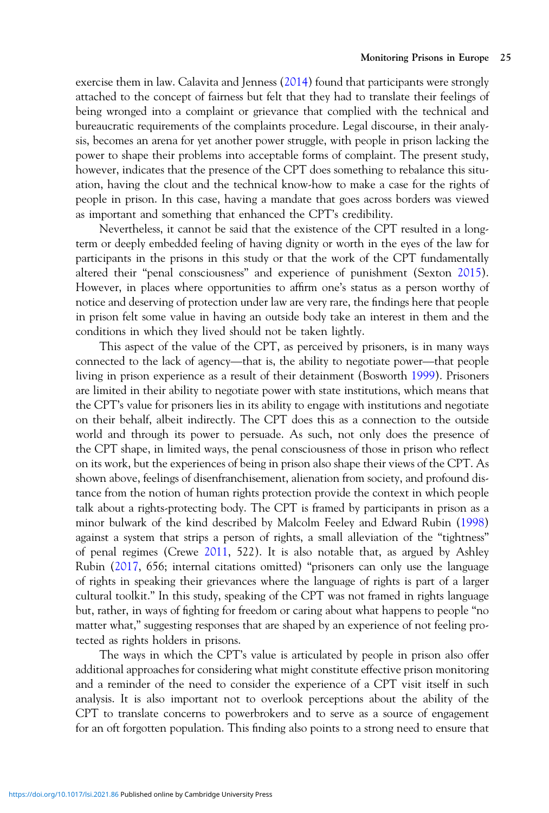exercise them in law. Calavita and Jenness ([2014\)](#page-27-0) found that participants were strongly attached to the concept of fairness but felt that they had to translate their feelings of being wronged into a complaint or grievance that complied with the technical and bureaucratic requirements of the complaints procedure. Legal discourse, in their analysis, becomes an arena for yet another power struggle, with people in prison lacking the power to shape their problems into acceptable forms of complaint. The present study, however, indicates that the presence of the CPT does something to rebalance this situation, having the clout and the technical know-how to make a case for the rights of people in prison. In this case, having a mandate that goes across borders was viewed as important and something that enhanced the CPT's credibility.

Nevertheless, it cannot be said that the existence of the CPT resulted in a longterm or deeply embedded feeling of having dignity or worth in the eyes of the law for participants in the prisons in this study or that the work of the CPT fundamentally altered their "penal consciousness" and experience of punishment (Sexton [2015](#page-29-0)). However, in places where opportunities to affirm one's status as a person worthy of notice and deserving of protection under law are very rare, the findings here that people In prison felt some value in having an outside body take an interest in them and the conditions in which they lived should not be taken lightly.<br>This aspect of the value of the CPT, as perceived by prisoners, is in many wa conditions in which they lived should not be taken lightly.

This aspect of the value of the CPT, as perceived by prisoners, is in many ways living in prison experience as a result of their detainment (Bosworth [1999](#page-27-0)). Prisoners are limited in their ability to negotiate power with state institutions, which means that the CPT's value for prisoners lies in its ability to engage with institutions and negotiate on their behalf, albeit indirectly. The CPT does this as a connection to the outside world and through its power to persuade. As such, not only does the presence of the CPT shape, in limited ways, the penal consciousness of those in prison who reflect on its work, but the experiences of being in prison also shape their views of the CPT. As shown above, feelings of disenfranchisement, alienation from society, and profound distance from the notion of human rights protection provide the context in which people talk about a rights-protecting body. The CPT is framed by participants in prison as a minor bulwark of the kind described by Malcolm Feeley and Edward Rubin ([1998\)](#page-28-0) against a system that strips a person of rights, a small alleviation of the "tightness" of penal regimes (Crewe [2011,](#page-28-0) 522). It is also notable that, as argued by Ashley Rubin ([2017,](#page-29-0) 656; internal citations omitted) "prisoners can only use the language of rights in speaking their grievances where the language of rights is part of a larger cultural toolkit." In this study, speaking of the CPT was not framed in rights language but, rather, in ways of fighting for freedom or caring about what happens to people "no matter what," suggesting responses that are shaped by an experience of not feeling protected as rights holders in prisons.

The ways in which the CPT's value is articulated by people in prison also offer additional approaches for considering what might constitute effective prison monitoring and a reminder of the need to consider the experience of a CPT visit itself in such analysis. It is also important not to overlook perceptions about the ability of the CPT to translate concerns to powerbrokers and to serve as a source of engagement for an oft forgotten population. This finding also points to a strong need to ensure that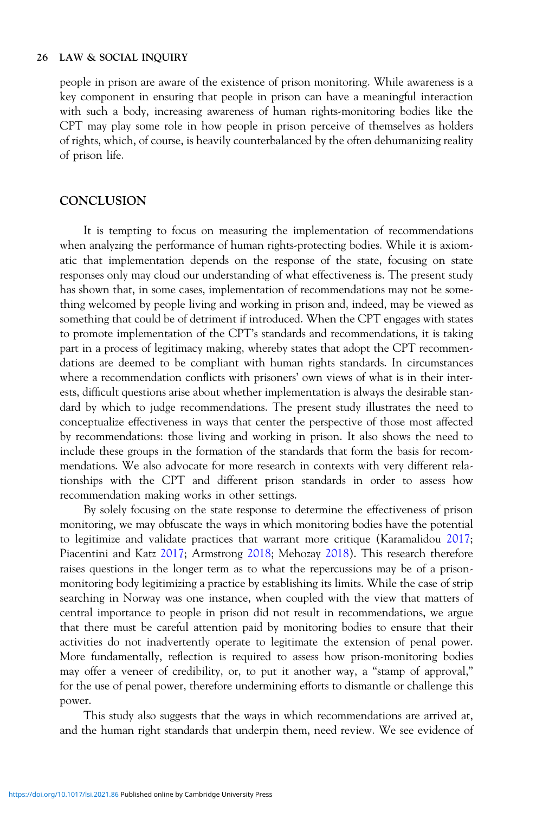people in prison are aware of the existence of prison monitoring. While awareness is a key component in ensuring that people in prison can have a meaningful interaction with such a body, increasing awareness of human rights-monitoring bodies like the CPT may play some role in how people in prison perceive of themselves as holders of rights, which, of course, is heavily counterbalanced by the often dehumanizing reality of prison life.

## **CONCLUSION**

It is tempting to focus on measuring the implementation of recommendations when analyzing the performance of human rights-protecting bodies. While it is axiomatic that implementation depends on the response of the state, focusing on state responses only may cloud our understanding of what effectiveness is. The present study has shown that, in some cases, implementation of recommendations may not be something welcomed by people living and working in prison and, indeed, may be viewed as something that could be of detriment if introduced. When the CPT engages with states to promote implementation of the CPT's standards and recommendations, it is taking part in a process of legitimacy making, whereby states that adopt the CPT recommendations are deemed to be compliant with human rights standards. In circumstances where a recommendation conflicts with prisoners' own views of what is in their interests, difficult questions arise about whether implementation is always the desirable standard by which to judge recommendations. The present study illustrates the need to conceptualize effectiveness in ways that center the perspective of those most affected by recommendations: those living and working in prison. It also shows the need to include these groups in the formation of the standards that form the basis for recommendations. We also advocate for more research in contexts with very different relationships with the CPT and different prison standards in order to assess how recommendation making works in other settings.

By solely focusing on the state response to determine the effectiveness of prison monitoring, we may obfuscate the ways in which monitoring bodies have the potential to legitimize and validate practices that warrant more critique (Karamalidou [2017](#page-29-0); Piacentini and Katz [2017](#page-29-0); Armstrong [2018](#page-27-0); Mehozay [2018](#page-29-0)). This research therefore raises questions in the longer term as to what the repercussions may be of a prisonmonitoring body legitimizing a practice by establishing its limits. While the case of strip searching in Norway was one instance, when coupled with the view that matters of central importance to people in prison did not result in recommendations, we argue that there must be careful attention paid by monitoring bodies to ensure that their activities do not inadvertently operate to legitimate the extension of penal power. More fundamentally, reflection is required to assess how prison-monitoring bodies may offer a veneer of credibility, or, to put it another way, a "stamp of approval," for the use of penal power, therefore undermining efforts to dismantle or challenge this power.

This study also suggests that the ways in which recommendations are arrived at, and the human right standards that underpin them, need review. We see evidence of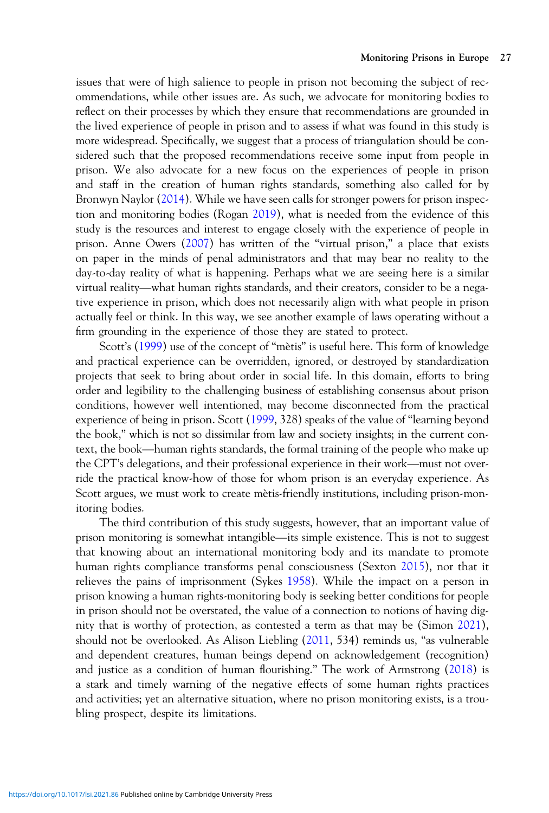issues that were of high salience to people in prison not becoming the subject of recommendations, while other issues are. As such, we advocate for monitoring bodies to reflect on their processes by which they ensure that recommendations are grounded in the lived experience of people in prison and to assess if what was found in this study is more widespread. Specifically, we suggest that a process of triangulation should be considered such that the proposed recommendations receive some input from people in prison. We also advocate for a new focus on the experiences of people in prison and staff in the creation of human rights standards, something also called for by Bronwyn Naylor ([2014\)](#page-29-0). While we have seen calls for stronger powers for prison inspection and monitoring bodies (Rogan [2019\)](#page-29-0), what is needed from the evidence of this study is the resources and interest to engage closely with the experience of people in prison. Anne Owers [\(2007](#page-29-0)) has written of the "virtual prison," a place that exists<br>on paper in the minds of penal administrators and that may bear no reality to the<br>day-to-day reality of what is happening. Perhaps what we on paper in the minds of penal administrators and that may bear no reality to the day-to-day reality of what is happening. Perhaps what we are seeing here is a similar tive experience in prison, which does not necessarily align with what people in prison actually feel or think. In this way, we see another example of laws operating without a firm grounding in the experience of those they are stated to protect.

Scott's ([1999\)](#page-29-0) use of the concept of "mètis" is useful here. This form of knowledge and practical experience can be overridden, ignored, or destroyed by standardization projects that seek to bring about order in social life. In this domain, efforts to bring order and legibility to the challenging business of establishing consensus about prison conditions, however well intentioned, may become disconnected from the practical experience of being in prison. Scott (1999, 328) speaks of the value of "learning beyond the book," which is not so dissimilar from law and s experience of being in prison. Scott ([1999,](#page-29-0) 328) speaks of the value of "learning beyond the book," which is not so dissimilar from law and society insights; in the current context, the book—human rights standards, the for the book," which is not so dissimilar from law and society insights; in the current conride the practical know-how of those for whom prison is an everyday experience. As Scott argues, we must work to create mètis-friendly institutions, including prison-monitoring bodies.

The third contribution of this study suggests, however, that an important value of prison monitoring is somewhat intangible—its simple existence. This is not to suggest that knowing about an international monitoring body and its mandate to promote human rights compliance transforms penal consciousness (Sexton [2015](#page-29-0)), nor that it relieves the pains of imprisonment (Sykes [1958](#page-30-0)). While the impact on a person in prison knowing a human rights-monitoring body is seeking better conditions for people in prison should not be overstated, the value of a connection to notions of having dignity that is worthy of protection, as contested a term as that may be (Simon [2021](#page-29-0)), should not be overlooked. As Alison Liebling [\(2011](#page-29-0), 534) reminds us, "as vulnerable and dependent creatures, human beings depend on acknowledgement (recognition) and justice as a condition of human flourishing." The work of Armstrong ([2018\)](#page-27-0) is a stark and timely warning of the negative effects of some human rights practices and activities; yet an alternative situation, where no prison monitoring exists, is a troubling prospect, despite its limitations.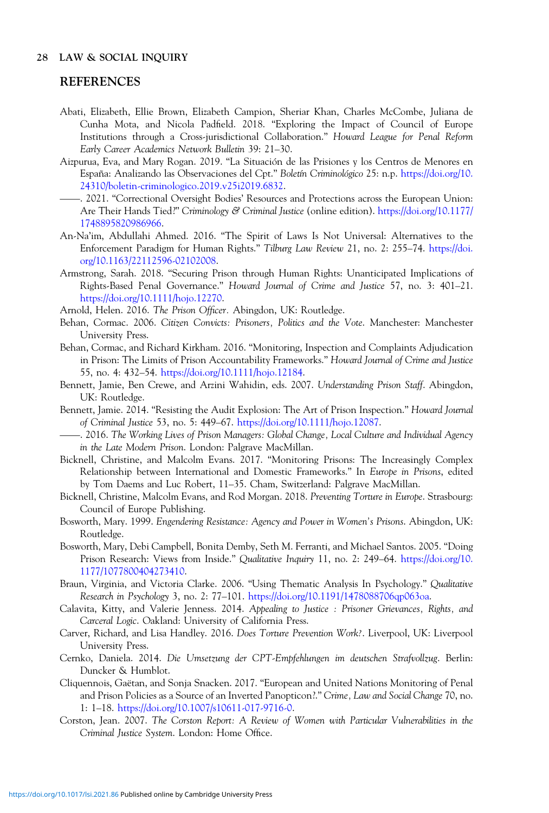## <span id="page-27-0"></span>REFERENCES

- Abati, Elizabeth, Ellie Brown, Elizabeth Campion, Sheriar Khan, Charles McCombe, Juliana de Cunha Mota, and Nicola Padfield. 2018. "Exploring the Impact of Council of Europe Institutions through a Cross-jurisdictional Collaboration." Howard League for Penal Reform Early Career Academics Network Bulletin 39: 21–30.
- Aizpurua, Eva, and Mary Rogan. 2019. "La Situaci ´on de las Prisiones y los Centros de Menores en —España: Analizando las Observaciones del Cpt." Boletín Criminológico 25: n.p. [https://doi.org/10.](https://doi.org/10.24310/boletin-criminologico.2019.v25i2019.6832) [24310/boletin-criminologico.2019.v25i2019.6832.](https://doi.org/10.24310/boletin-criminologico.2019.v25i2019.6832)
- . 2021. "Correctional Oversight Bodies' Resources and Protections across the European Union: Are Their Hands Tied?" Criminology & Criminal Justice (online edition). [https://doi.org/10.1177/](https://doi.org/10.1177/1748895820986966) [1748895820986966.](https://doi.org/10.1177/1748895820986966)
- An-Na'im, Abdullahi Ahmed. 2016. "The Spirit of Laws Is Not Universal: Alternatives to the Enforcement Paradigm for Human Rights." Tilburg Law Review 21, no. 2: 255–74. [https://doi.](https://doi.org/10.1163/22112596-02102008) [org/10.1163/22112596-02102008](https://doi.org/10.1163/22112596-02102008).
- Armstrong, Sarah. 2018. "Securing Prison through Human Rights: Unanticipated Implications of Rights-Based Penal Governance." Howard Journal of Crime and Justice 57, no. 3: 401–21. <https://doi.org/10.1111/hojo.12270>.
- Arnold, Helen. 2016. The Prison Officer. Abingdon, UK: Routledge.
- Behan, Cormac. 2006. Citizen Convicts: Prisoners, Politics and the Vote. Manchester: Manchester University Press.
- Behan, Cormac, and Richard Kirkham. 2016. "Monitoring, Inspection and Complaints Adjudication in Prison: The Limits of Prison Accountability Frameworks." Howard Journal of Crime and Justice 55, no. 4: 432–54. <https://doi.org/10.1111/hojo.12184>.
- Bennett, Jamie, Ben Crewe, and Arzini Wahidin, eds. 2007. Understanding Prison Staff. Abingdon,<br>UK: Baythdra UK: Routledge.
- Bennett, Jamie. 2014. "Resisting the Audit Explosion: The Art of Prison Inspection." Howard Journal of Criminal Justice 53, no. 5: 449–67. [https://doi.org/10.1111/hojo.12087.](https://doi.org/10.1111/hojo.12087)
- . 2016. The Working Lives of Prison Managers: Global Change, Local Culture and Individual Agency in the Late Modern Prison. London: Palgrave MacMillan.
- Bicknell, Christine, and Malcolm Evans. 2017. "Monitoring Prisons: The Increasingly Complex Relationship between International and Domestic Frameworks." In Europe in Prisons, edited by Tom Daems and Luc Robert, 11–35. Cham, Switzerland: Palgrave MacMillan.
- Bicknell, Christine, Malcolm Evans, and Rod Morgan. 2018. Preventing Torture in Europe. Strasbourg: Council of Europe Publishing.
- Bosworth, Mary. 1999. Engendering Resistance: Agency and Power in Women's Prisons. Abingdon, UK: Routledge.
- Bosworth, Mary, Debi Campbell, Bonita Demby, Seth M. Ferranti, and Michael Santos. 2005. "Doing Prison Research: Views from Inside." Qualitative Inquiry 11, no. 2: 249–64. [https://doi.org/10.](https://doi.org/10.1177/1077800404273410) [1177/1077800404273410](https://doi.org/10.1177/1077800404273410).
- Braun, Virginia, and Victoria Clarke. 2006. "Using Thematic Analysis In Psychology." Qualitative Research in Psychology 3, no. 2: 77–101. <https://doi.org/10.1191/1478088706qp063oa>.
- Calavita, Kitty, and Valerie Jenness. 2014. Appealing to Justice : Prisoner Grievances, Rights, and Carceral Logic. Oakland: University of California Press.
- Carver, Richard, and Lisa Handley. 2016. Does Torture Prevention Work?. Liverpool, UK: Liverpool University Press.
- Cernko, Daniela. 2014. Die Umsetzung der CPT-Empfehlungen im deutschen Strafvollzug. Berlin: Duncker & Humblot.
- Cliquennois, Gaëtan, and Sonja Snacken. 2017. "European and United Nations Monitoring of Penal and Prison Policies as a Source of an Inverted Panopticon?." Crime, Law and Social Change 70, no. 1: 1–18. [https://doi.org/10.1007/s10611-017-9716-0.](https://doi.org/10.1007/s10611-017-9716-0)
- Corston, Jean. 2007. The Corston Report: A Review of Women with Particular Vulnerabilities in the Criminal Justice System. London: Home Office.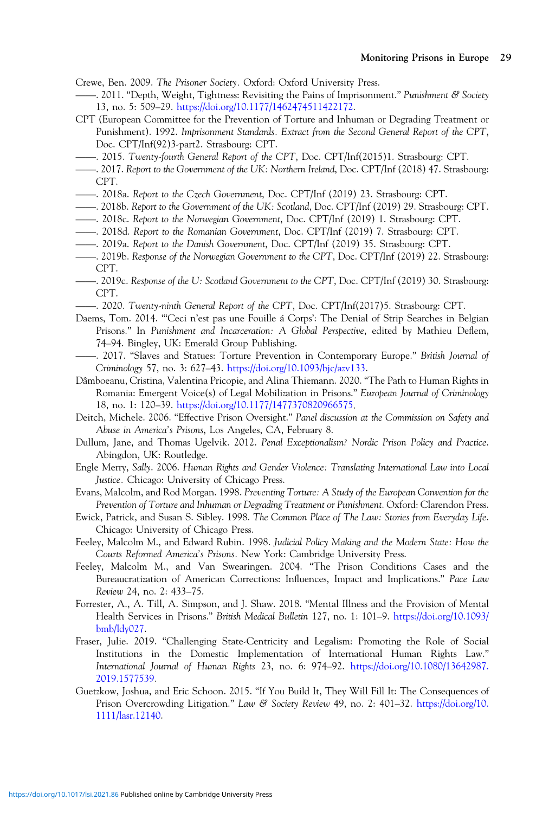<span id="page-28-0"></span>Crewe, Ben. 2009. The Prisoner Society. Oxford: Oxford University Press.

- . 2011. "Depth, Weight, Tightness: Revisiting the Pains of Imprisonment." Punishment & Society 13, no. 5: 509–29. [https://doi.org/10.1177/1462474511422172.](https://doi.org/10.1177/1462474511422172)
- CPT (European Committee for the Prevention of Torture and Inhuman or Degrading Treatment or Punishment). 1992. Imprisonment Standards. Extract from the Second General Report of the CPT, Doc. CPT/Inf(92)3-part2. Strasbourg: CPT.  $\overline{ }$
- . 2015. Twenty-fourth General Report of the CPT, Doc. CPT/Inf(2015)1. Strasbourg: CPT. ——
- . 2017. Report to the Government of the UK: Northern Ireland, Doc. CPT/Inf (2018) 47. Strasbourg: ——CPT.
- . 2018a. Report to the Czech Government, Doc. CPT/Inf (2019) 23. Strasbourg: CPT. ——
- . 2018b. Report to the Government of the UK: Scotland, Doc. CPT/Inf (2019) 29. Strasbourg: CPT. ——
- . 2018c. Report to the Norwegian Government, Doc. CPT/Inf (2019) 1. Strasbourg: CPT.
- 2018d. Report to the Romanian Government, Doc. CPT/Inf (2019) 7. Strasbourg: CPT.<br>2010a Report to the Davish Courmmant, Doc. CPT/Inf (2010) 25. Strasbourg: CPT.
- . 2019a. Report to the Danish Government, Doc. CPT/Inf (2019) 35. Strasbourg: CPT.
- . 2019b. Response of the Norwegian Government to the CPT, Doc. CPT/Inf (2019) 22. Strasbourg: CPT.
- . 2019c. Response of the U: Scotland Government to the CPT, Doc. CPT/Inf (2019) 30. Strasbourg: CPT.
- . 2020. Twenty-ninth General Report of the CPT, Doc. CPT/Inf(2017)5. Strasbourg: CPT.
- Paems, Tom. 2014. "Ceci n'est pas une Fouille á Corps': The Denial of Strip Searches in Belgian Prisons." In Punishment and Incarceration: A Global Perspective, edited by Mathieu Deflem, 74–94. Bingley, UK: Emerald Group Publishing.
- . 2017. "Slaves and Statues: Torture Prevention in Contemporary Europe." British Journal of Criminology 57, no. 3: 627–43. [https://doi.org/10.1093/bjc/azv133.](https://doi.org/10.1093/bjc/azv133)
- Dâmboeanu, Cristina, Valentina Pricopie, and Alina Thiemann. 2020. "The Path to Human Rights in Romania: Emergent Voice(s) of Legal Mobilization in Prisons." European Journal of Criminology 18, no. 1: 120–39. [https://doi.org/10.1177/1477370820966575.](https://doi.org/10.1177/1477370820966575)
- Deitch, Michele. 2006. "Effective Prison Oversight." Panel discussion at the Commission on Safety and Abuse in America's Prisons, Los Angeles, CA, February 8.
- Dullum, Jane, and Thomas Ugelvik. 2012. Penal Exceptionalism? Nordic Prison Policy and Practice. Abingdon, UK: Routledge.
- Engle Merry, Sally. 2006. Human Rights and Gender Violence: Translating International Law into Local Justice. Chicago: University of Chicago Press.
- Evans, Malcolm, and Rod Morgan. 1998. Preventing Torture: A Study of the European Convention for the Prevention of Torture and Inhuman or Degrading Treatment or Punishment. Oxford: Clarendon Press.
- Ewick, Patrick, and Susan S. Sibley. 1998. The Common Place of The Law: Stories from Everyday Life. Chicago: University of Chicago Press.
- Feeley, Malcolm M., and Edward Rubin. 1998. Judicial Policy Making and the Modern State: How the Courts Reformed America's Prisons. New York: Cambridge University Press.
- Feeley, Malcolm M., and Van Swearingen. 2004. "The Prison Conditions Cases and the Bureaucratization of American Corrections: Influences, Impact and Implications." Pace Law Review 24, no. 2: 433–75.
- Forrester, A., A. Till, A. Simpson, and J. Shaw. 2018. "Mental Illness and the Provision of Mental Health Services in Prisons." British Medical Bulletin 127, no. 1: 101–9. [https://doi.org/10.1093/](https://doi.org/10.1093/bmb/ldy027) [bmb/ldy027.](https://doi.org/10.1093/bmb/ldy027)
- Fraser, Julie. 2019. "Challenging State-Centricity and Legalism: Promoting the Role of Social Institutions in the Domestic Implementation of International Human Rights Law." International Journal of Human Rights 23, no. 6: 974–92. [https://doi.org/10.1080/13642987.](https://doi.org/10.1080/13642987.2019.1577539) [2019.1577539.](https://doi.org/10.1080/13642987.2019.1577539)
- Guetzkow, Joshua, and Eric Schoon. 2015. "If You Build It, They Will Fill It: The Consequences of Prison Overcrowding Litigation." Law & Society Review 49, no. 2: 401–32. [https://doi.org/10.](https://doi.org/10.1111/lasr.12140) [1111/lasr.12140](https://doi.org/10.1111/lasr.12140).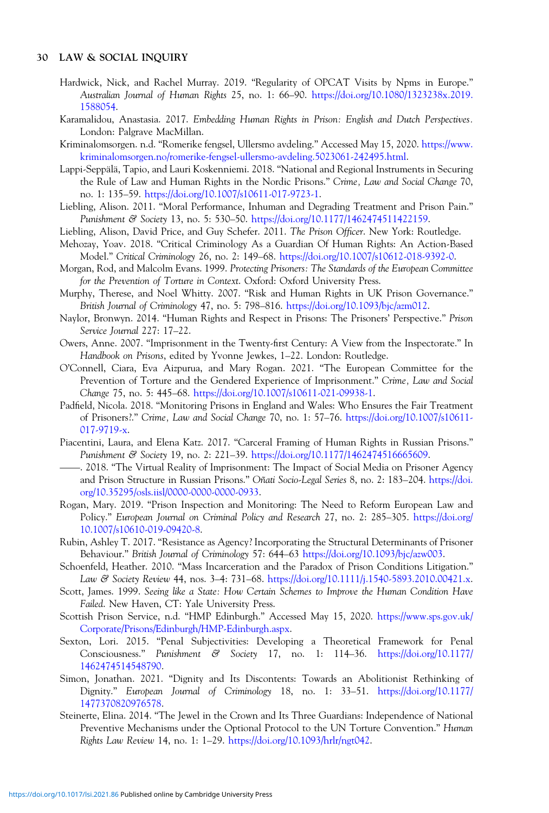- <span id="page-29-0"></span>Hardwick, Nick, and Rachel Murray. 2019. "Regularity of OPCAT Visits by Npms in Europe." Australian Journal of Human Rights 25, no. 1: 66–90. [https://doi.org/10.1080/1323238x.2019.](https://doi.org/10.1080/1323238x.2019.1588054) [1588054](https://doi.org/10.1080/1323238x.2019.1588054).
- Karamalidou, Anastasia. 2017. Embedding Human Rights in Prison: English and Dutch Perspectives. London: Palgrave MacMillan.
- Kriminalomsorgen. n.d. "Romerike fengsel, Ullersmo avdeling." Accessed May 15, 2020. [https://www.](https://www.kriminalomsorgen.no/romerike-fengsel-ullersmo-avdeling.5023061-242495.html) [kriminalomsorgen.no/romerike-fengsel-ullersmo-avdeling.5023061-242495.html.](https://www.kriminalomsorgen.no/romerike-fengsel-ullersmo-avdeling.5023061-242495.html)
- Lappi-Seppälä, Tapio, and Lauri Koskenniemi. 2018. "National and Regional Instruments in Securing the Rule of Law and Human Rights in the Nordic Prisons." Crime, Law and Social Change 70, no. 1: 135–59. [https://doi.org/10.1007/s10611-017-9723-1.](https://doi.org/10.1007/s10611-017-9723-1)
- Liebling, Alison. 2011. "Moral Performance, Inhuman and Degrading Treatment and Prison Pain." Punishment & Society 13, no. 5: 530–50. [https://doi.org/10.1177/1462474511422159.](https://doi.org/10.1177/1462474511422159)
- Liebling, Alison, David Price, and Guy Schefer. 2011. The Prison Officer. New York: Routledge.
- Mehozay, Yoav. 2018. "Critical Criminology As a Guardian Of Human Rights: An Action-Based Model." Critical Criminology 26, no. 2: 149–68. <https://doi.org/10.1007/s10612-018-9392-0>.
- Morgan, Rod, and Malcolm Evans. 1999. Protecting Prisoners: The Standards of the European Committee for the Prevention of Torture in Context. Oxford: Oxford University Press.
- Murphy, Therese, and Noel Whitty. 2007. "Risk and Human Rights in UK Prison Governance." British Journal of Criminology 47, no. 5: 798–816. [https://doi.org/10.1093/bjc/azm012.](https://doi.org/10.1093/bjc/azm012)
- Naylor, Bronwyn. 2014. "Human Rights and Respect in Prisons: The Prisoners' Perspective." Prison Service Journal 227: 17–22.
- Owers, Anne. 2007. "Imprisonment in the Twenty-first Century: A View from the Inspectorate." In Handbook on Prisons, edited by Yvonne Jewkes, 1–22. London: Routledge.
- O'Connell, Ciara, Eva Aizpurua, and Mary Rogan. 2021. "The European Committee for the Prevention of Torture and the Gendered Experience of Imprisonment." Crime, Law and Social Change 75, no. 5: 445–68. <https://doi.org/10.1007/s10611-021-09938-1>.
- Padfield, Nicola. 2018. "Monitoring Prisons in England and Wales: Who Ensures the Fair Treatment of Prisoners?." Crime, Law and Social Change 70, no. 1: 57–76. [https://doi.org/10.1007/s10611-](https://doi.org/10.1007/s10611-017-9719-x) [017-9719-x.](https://doi.org/10.1007/s10611-017-9719-x) ——
- Piacentini, Laura, and Elena Katz. 2017. "Carceral Framing of Human Rights in Russian Prisons." Punishment & Society 19, no. 2: 221-39. [https://doi.org/10.1177/1462474516665609.](https://doi.org/10.1177/1462474516665609)
- . 2018. "The Virtual Reality of Imprisonment: The Impact of Social Media on Prisoner Agency and Prison Structure in Russian Prisons." Oñati Socio-Legal Series 8, no. 2: 183–204. [https://doi.](https://doi.org/10.35295/osls.iisl/0000-0000-0000-0933) [org/10.35295/osls.iisl/0000-0000-0000-0933](https://doi.org/10.35295/osls.iisl/0000-0000-0000-0933).
- Rogan, Mary. 2019. "Prison Inspection and Monitoring: The Need to Reform European Law and Policy." European Journal on Criminal Policy and Research 27, no. 2: 285–305. [https://doi.org/](https://doi.org/10.1007/s10610-019-09420-8) [10.1007/s10610-019-09420-8](https://doi.org/10.1007/s10610-019-09420-8).
- Rubin, Ashley T. 2017. "Resistance as Agency? Incorporating the Structural Determinants of Prisoner Behaviour." British Journal of Criminology 57: 644–63 <https://doi.org/10.1093/bjc/azw003>.
- Schoenfeld, Heather. 2010. "Mass Incarceration and the Paradox of Prison Conditions Litigation." Law & Society Review 44, nos. 3–4: 731–68. [https://doi.org/10.1111/j.1540-5893.2010.00421.x.](https://doi.org/10.1111/j.1540-5893.2010.00421.x)
- Scott, James. 1999. Seeing like a State: How Certain Schemes to Improve the Human Condition Have Failed. New Haven, CT: Yale University Press.
- Scottish Prison Service, n.d. "HMP Edinburgh." Accessed May 15, 2020. [https://www.sps.gov.uk/](https://www.sps.gov.uk/Corporate/Prisons/Edinburgh/HMP-Edinburgh.aspx) [Corporate/Prisons/Edinburgh/HMP-Edinburgh.aspx.](https://www.sps.gov.uk/Corporate/Prisons/Edinburgh/HMP-Edinburgh.aspx)
- Sexton, Lori. 2015. "Penal Subjectivities: Developing a Theoretical Framework for Penal Consciousness." Punishment & Society 17, no. 1: 114–36. [https://doi.org/10.1177/](https://doi.org/10.1177/1462474514548790) [1462474514548790.](https://doi.org/10.1177/1462474514548790)
- Simon, Jonathan. 2021. "Dignity and Its Discontents: Towards an Abolitionist Rethinking of Dignity." European Journal of Criminology 18, no. 1: 33–51. [https://doi.org/10.1177/](https://doi.org/10.1177/1477370820976578) [1477370820976578.](https://doi.org/10.1177/1477370820976578)
- Steinerte, Elina. 2014. "The Jewel in the Crown and Its Three Guardians: Independence of National Preventive Mechanisms under the Optional Protocol to the UN Torture Convention." Human Rights Law Review 14, no. 1: 1–29. [https://doi.org/10.1093/hrlr/ngt042.](https://doi.org/10.1093/hrlr/ngt042)